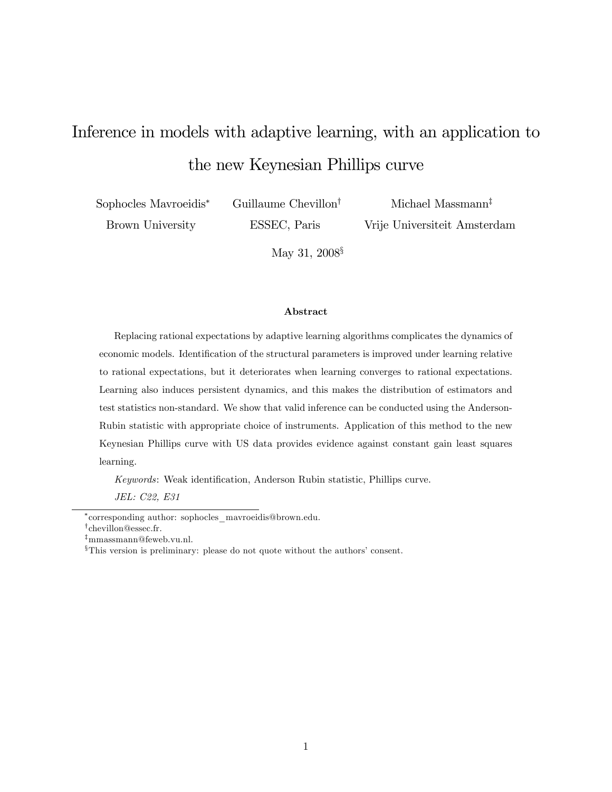# Inference in models with adaptive learning, with an application to the new Keynesian Phillips curve

Sophocles Mavroeidis Brown University

Guillaume Chevillon<sup>†</sup>

ESSEC, Paris

Michael Massmann<sup> $†$ </sup> Vrije Universiteit Amsterdam

May 31,  $2008^{\frac{5}{3}}$ 

#### Abstract

Replacing rational expectations by adaptive learning algorithms complicates the dynamics of economic models. Identification of the structural parameters is improved under learning relative to rational expectations, but it deteriorates when learning converges to rational expectations. Learning also induces persistent dynamics, and this makes the distribution of estimators and test statistics non-standard. We show that valid inference can be conducted using the Anderson-Rubin statistic with appropriate choice of instruments. Application of this method to the new Keynesian Phillips curve with US data provides evidence against constant gain least squares learning.

Keywords: Weak identification, Anderson Rubin statistic, Phillips curve.

JEL: C22, E31

corresponding author: sophocles\_mavroeidis@brown.edu.

<sup>&</sup>lt;sup>†</sup>chevillon@essec.fr.

 $\ddagger$ mmassmann@feweb.vu.nl.

 $^{\S}$ This version is preliminary: please do not quote without the authors' consent.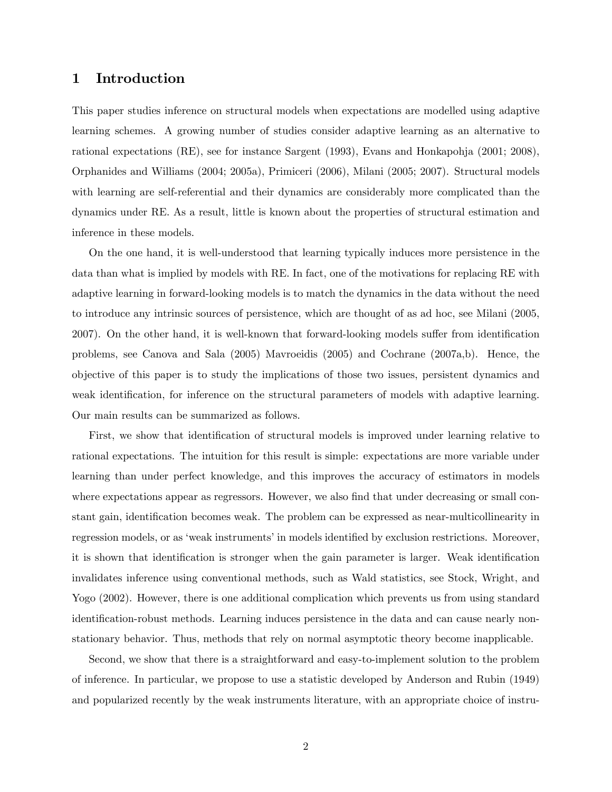## 1 Introduction

This paper studies inference on structural models when expectations are modelled using adaptive learning schemes. A growing number of studies consider adaptive learning as an alternative to rational expectations (RE), see for instance Sargent (1993), Evans and Honkapohja (2001; 2008), Orphanides and Williams (2004; 2005a), Primiceri (2006), Milani (2005; 2007). Structural models with learning are self-referential and their dynamics are considerably more complicated than the dynamics under RE. As a result, little is known about the properties of structural estimation and inference in these models.

On the one hand, it is well-understood that learning typically induces more persistence in the data than what is implied by models with RE. In fact, one of the motivations for replacing RE with adaptive learning in forward-looking models is to match the dynamics in the data without the need to introduce any intrinsic sources of persistence, which are thought of as ad hoc, see Milani (2005, 2007). On the other hand, it is well-known that forward-looking models suffer from identification problems, see Canova and Sala (2005) Mavroeidis (2005) and Cochrane (2007a,b). Hence, the objective of this paper is to study the implications of those two issues, persistent dynamics and weak identification, for inference on the structural parameters of models with adaptive learning. Our main results can be summarized as follows.

First, we show that identification of structural models is improved under learning relative to rational expectations. The intuition for this result is simple: expectations are more variable under learning than under perfect knowledge, and this improves the accuracy of estimators in models where expectations appear as regressors. However, we also find that under decreasing or small constant gain, identification becomes weak. The problem can be expressed as near-multicollinearity in regression models, or as 'weak instruments' in models identified by exclusion restrictions. Moreover, it is shown that identification is stronger when the gain parameter is larger. Weak identification invalidates inference using conventional methods, such as Wald statistics, see Stock, Wright, and Yogo (2002). However, there is one additional complication which prevents us from using standard identification-robust methods. Learning induces persistence in the data and can cause nearly nonstationary behavior. Thus, methods that rely on normal asymptotic theory become inapplicable.

Second, we show that there is a straightforward and easy-to-implement solution to the problem of inference. In particular, we propose to use a statistic developed by Anderson and Rubin (1949) and popularized recently by the weak instruments literature, with an appropriate choice of instru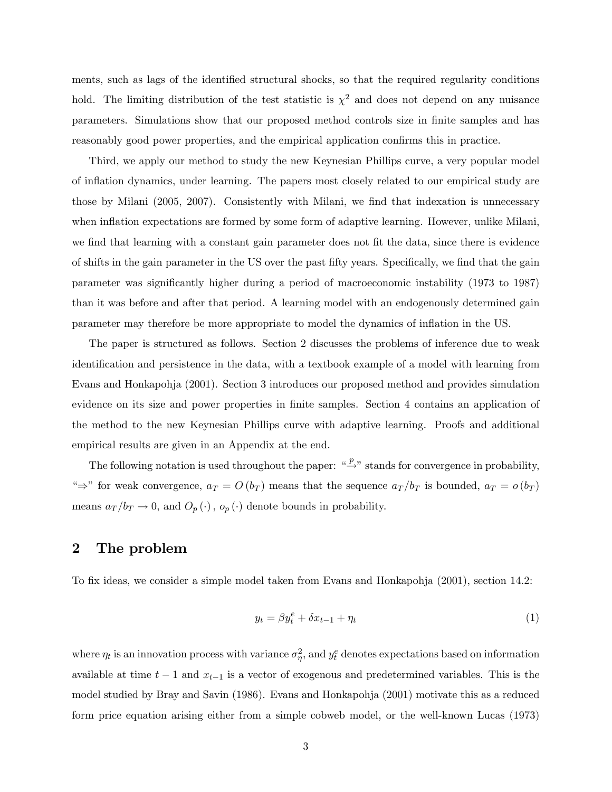ments, such as lags of the identified structural shocks, so that the required regularity conditions hold. The limiting distribution of the test statistic is  $\chi^2$  and does not depend on any nuisance parameters. Simulations show that our proposed method controls size in Önite samples and has reasonably good power properties, and the empirical application confirms this in practice.

Third, we apply our method to study the new Keynesian Phillips curve, a very popular model of ináation dynamics, under learning. The papers most closely related to our empirical study are those by Milani (2005, 2007). Consistently with Milani, we find that indexation is unnecessary when inflation expectations are formed by some form of adaptive learning. However, unlike Milani, we find that learning with a constant gain parameter does not fit the data, since there is evidence of shifts in the gain parameter in the US over the past fifty years. Specifically, we find that the gain parameter was significantly higher during a period of macroeconomic instability (1973 to 1987) than it was before and after that period. A learning model with an endogenously determined gain parameter may therefore be more appropriate to model the dynamics of ináation in the US.

The paper is structured as follows. Section 2 discusses the problems of inference due to weak identiÖcation and persistence in the data, with a textbook example of a model with learning from Evans and Honkapohja (2001). Section 3 introduces our proposed method and provides simulation evidence on its size and power properties in finite samples. Section 4 contains an application of the method to the new Keynesian Phillips curve with adaptive learning. Proofs and additional empirical results are given in an Appendix at the end.

The following notation is used throughout the paper: " $\stackrel{p}{\rightarrow}$ " stands for convergence in probability, " $\Rightarrow$ " for weak convergence,  $a_T = O(b_T)$  means that the sequence  $a_T/b_T$  is bounded,  $a_T = o(b_T)$ means  $a_T/b_T \to 0$ , and  $O_p(\cdot)$ ,  $o_p(\cdot)$  denote bounds in probability.

## 2 The problem

To fix ideas, we consider a simple model taken from Evans and Honkapohja (2001), section 14.2:

$$
y_t = \beta y_t^e + \delta x_{t-1} + \eta_t \tag{1}
$$

where  $\eta_t$  is an innovation process with variance  $\sigma_{\eta}^2$ , and  $y_t^e$  denotes expectations based on information available at time  $t - 1$  and  $x_{t-1}$  is a vector of exogenous and predetermined variables. This is the model studied by Bray and Savin (1986). Evans and Honkapohja (2001) motivate this as a reduced form price equation arising either from a simple cobweb model, or the well-known Lucas (1973)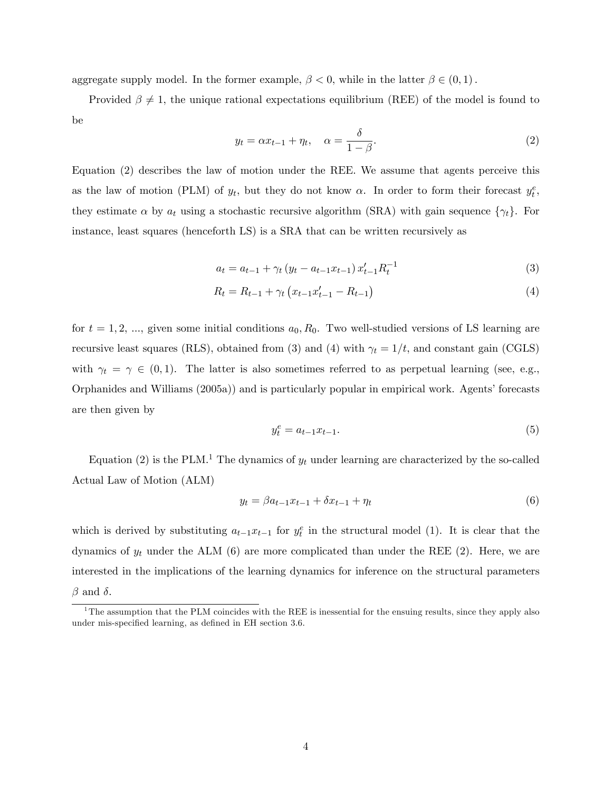aggregate supply model. In the former example,  $\beta < 0$ , while in the latter  $\beta \in (0,1)$ .

Provided  $\beta \neq 1$ , the unique rational expectations equilibrium (REE) of the model is found to be

$$
y_t = \alpha x_{t-1} + \eta_t, \quad \alpha = \frac{\delta}{1 - \beta}.
$$
 (2)

Equation (2) describes the law of motion under the REE. We assume that agents perceive this as the law of motion (PLM) of  $y_t$ , but they do not know  $\alpha$ . In order to form their forecast  $y_t^e$ , they estimate  $\alpha$  by  $a_t$  using a stochastic recursive algorithm (SRA) with gain sequence  $\{\gamma_t\}$ . For instance, least squares (henceforth LS) is a SRA that can be written recursively as

$$
a_{t} = a_{t-1} + \gamma_{t} \left( y_{t} - a_{t-1} x_{t-1} \right) x_{t-1}^{\prime} R_{t}^{-1}
$$
\n
$$
\tag{3}
$$

$$
R_t = R_{t-1} + \gamma_t \left( x_{t-1} x'_{t-1} - R_{t-1} \right) \tag{4}
$$

for  $t = 1, 2, \dots$ , given some initial conditions  $a_0, R_0$ . Two well-studied versions of LS learning are recursive least squares (RLS), obtained from (3) and (4) with  $\gamma_t = 1/t$ , and constant gain (CGLS) with  $\gamma_t = \gamma \in (0,1)$ . The latter is also sometimes referred to as perpetual learning (see, e.g., Orphanides and Williams (2005a)) and is particularly popular in empirical work. Agents' forecasts are then given by

$$
y_t^e = a_{t-1}x_{t-1}.\tag{5}
$$

Equation (2) is the PLM.<sup>1</sup> The dynamics of  $y_t$  under learning are characterized by the so-called Actual Law of Motion (ALM)

$$
y_t = \beta a_{t-1} x_{t-1} + \delta x_{t-1} + \eta_t \tag{6}
$$

which is derived by substituting  $a_{t-1}x_{t-1}$  for  $y_t^e$  in the structural model (1). It is clear that the dynamics of  $y_t$  under the ALM (6) are more complicated than under the REE (2). Here, we are interested in the implications of the learning dynamics for inference on the structural parameters  $\beta$  and  $\delta$ .

 $1$ <sup>1</sup>The assumption that the PLM coincides with the REE is inessential for the ensuing results, since they apply also under mis-specified learning, as defined in EH section 3.6.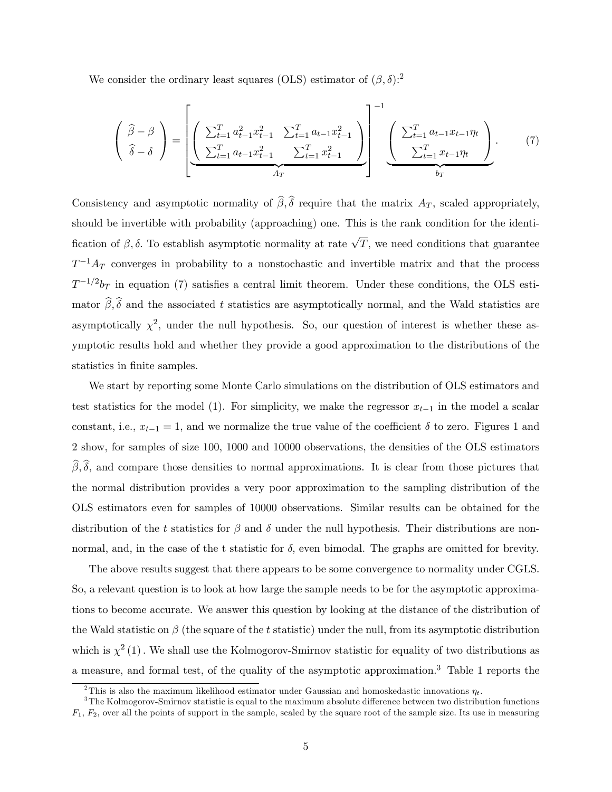We consider the ordinary least squares (OLS) estimator of  $(\beta, \delta)$ :<sup>2</sup>

$$
\begin{pmatrix}\n\hat{\beta} - \beta \\
\hat{\delta} - \delta\n\end{pmatrix} = \underbrace{\left[ \begin{pmatrix}\n\sum_{t=1}^{T} a_{t-1}^{2} x_{t-1}^{2} & \sum_{t=1}^{T} a_{t-1} x_{t-1}^{2} \\
\sum_{t=1}^{T} a_{t-1} x_{t-1}^{2} & \sum_{t=1}^{T} x_{t-1}^{2}\n\end{pmatrix}}_{A_{T}} \right]^{-1} \underbrace{\left( \begin{pmatrix}\n\sum_{t=1}^{T} a_{t-1} x_{t-1} \eta_{t} \\
\sum_{t=1}^{T} x_{t-1} \eta_{t}\n\end{pmatrix}}_{b_{T}}.
$$
\n(7)

Consistency and asymptotic normality of  $\hat{\beta}, \hat{\delta}$  require that the matrix  $A_T$ , scaled appropriately, should be invertible with probability (approaching) one. This is the rank condition for the identification of  $\beta$ ,  $\delta$ . To establish asymptotic normality at rate  $\sqrt{T}$ , we need conditions that guarantee  $T^{-1}A_T$  converges in probability to a nonstochastic and invertible matrix and that the process  $T^{-1/2}b_T$  in equation (7) satisfies a central limit theorem. Under these conditions, the OLS estimator  $\hat{\beta}, \hat{\delta}$  and the associated t statistics are asymptotically normal, and the Wald statistics are asymptotically  $\chi^2$ , under the null hypothesis. So, our question of interest is whether these asymptotic results hold and whether they provide a good approximation to the distributions of the statistics in finite samples.

We start by reporting some Monte Carlo simulations on the distribution of OLS estimators and test statistics for the model (1). For simplicity, we make the regressor  $x_{t-1}$  in the model a scalar constant, i.e.,  $x_{t-1} = 1$ , and we normalize the true value of the coefficient  $\delta$  to zero. Figures 1 and 2 show, for samples of size 100; 1000 and 10000 observations, the densities of the OLS estimators  $\widehat{\beta}, \widehat{\delta}$ , and compare those densities to normal approximations. It is clear from those pictures that the normal distribution provides a very poor approximation to the sampling distribution of the OLS estimators even for samples of 10000 observations. Similar results can be obtained for the distribution of the t statistics for  $\beta$  and  $\delta$  under the null hypothesis. Their distributions are nonnormal, and, in the case of the t statistic for  $\delta$ , even bimodal. The graphs are omitted for brevity.

The above results suggest that there appears to be some convergence to normality under CGLS. So, a relevant question is to look at how large the sample needs to be for the asymptotic approximations to become accurate. We answer this question by looking at the distance of the distribution of the Wald statistic on  $\beta$  (the square of the t statistic) under the null, from its asymptotic distribution which is  $\chi^2(1)$ . We shall use the Kolmogorov-Smirnov statistic for equality of two distributions as a measure, and formal test, of the quality of the asymptotic approximation.<sup>3</sup> Table 1 reports the

<sup>&</sup>lt;sup>2</sup>This is also the maximum likelihood estimator under Gaussian and homoskedastic innovations  $\eta_t$ .

 $3$ The Kolmogorov-Smirnov statistic is equal to the maximum absolute difference between two distribution functions  $F_1, F_2$ , over all the points of support in the sample, scaled by the square root of the sample size. Its use in measuring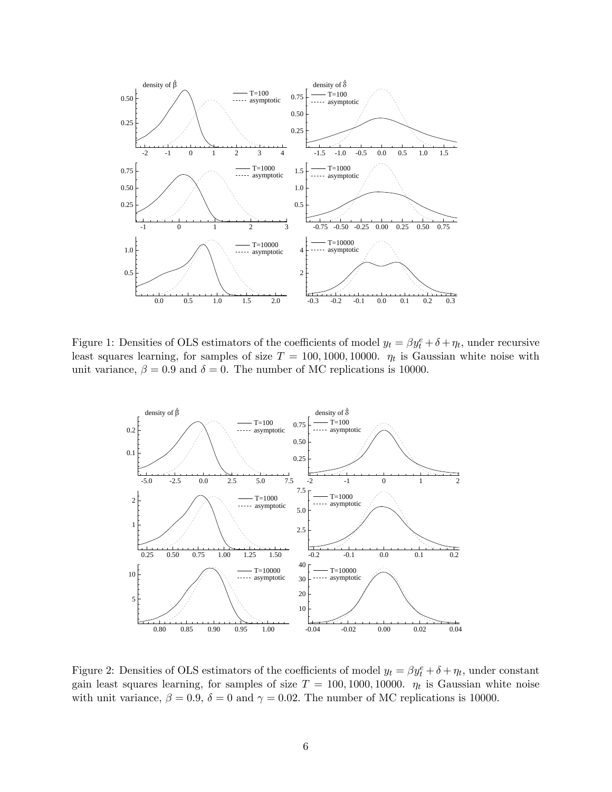

Figure 1: Densities of OLS estimators of the coefficients of model  $y_t = \beta y_t^e + \delta + \eta_t$ , under recursive least squares learning, for samples of size  $T = 100, 1000, 10000$ .  $\eta_t$  is Gaussian white noise with unit variance,  $\beta = 0.9$  and  $\delta = 0$ . The number of MC replications is 10000.



Figure 2: Densities of OLS estimators of the coefficients of model  $y_t = \beta y_t^e + \delta + \eta_t$ , under constant gain least squares learning, for samples of size  $T = 100, 1000, 10000$ .  $\eta_t$  is Gaussian white noise with unit variance,  $\beta = 0.9$ ,  $\delta = 0$  and  $\gamma = 0.02$ . The number of MC replications is 10000.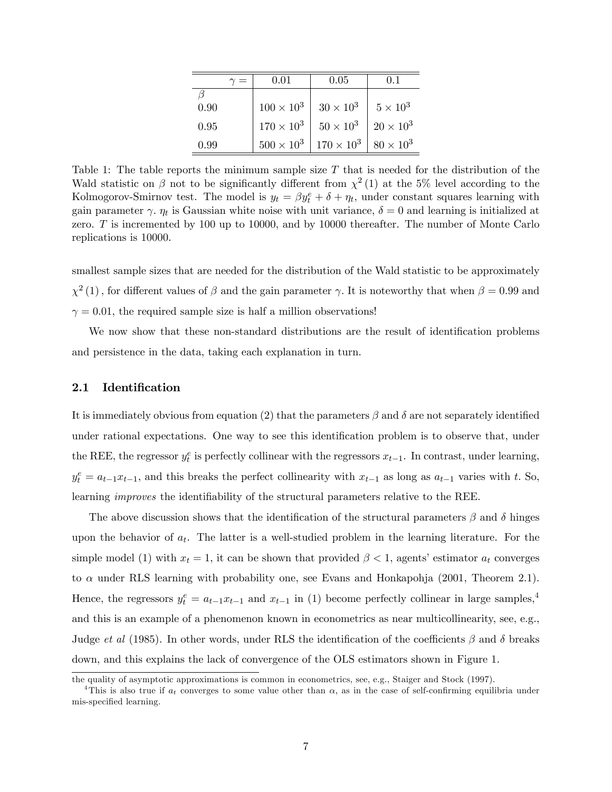|      | $0.01\,$            | 0.05                |                 |
|------|---------------------|---------------------|-----------------|
|      |                     |                     |                 |
| 0.90 | $100 \times 10^{3}$ | $30\times10^3$      | $5 \times 10^3$ |
| 0.95 | $170 \times 10^{3}$ | $50\times10^3$      | $20\times10^3$  |
| 0.99 | $500 \times 10^{3}$ | $170 \times 10^{3}$ | $80\times10^3$  |

Table 1: The table reports the minimum sample size  $T$  that is needed for the distribution of the Wald statistic on  $\beta$  not to be significantly different from  $\chi^2(1)$  at the 5% level according to the Kolmogorov-Smirnov test. The model is  $y_t = \beta y_t^e + \delta + \eta_t$ , under constant squares learning with gain parameter  $\gamma$ .  $\eta_t$  is Gaussian white noise with unit variance,  $\delta = 0$  and learning is initialized at zero. T is incremented by 100 up to 10000, and by 10000 thereafter. The number of Monte Carlo replications is 10000.

smallest sample sizes that are needed for the distribution of the Wald statistic to be approximately  $\chi^2$  (1), for different values of  $\beta$  and the gain parameter  $\gamma$ . It is noteworthy that when  $\beta = 0.99$  and  $\gamma = 0.01$ , the required sample size is half a million observations!

We now show that these non-standard distributions are the result of identification problems and persistence in the data, taking each explanation in turn.

### 2.1 Identification

It is immediately obvious from equation (2) that the parameters  $\beta$  and  $\delta$  are not separately identified under rational expectations. One way to see this identification problem is to observe that, under the REE, the regressor  $y_t^e$  is perfectly collinear with the regressors  $x_{t-1}$ . In contrast, under learning,  $y_t^e = a_{t-1}x_{t-1}$ , and this breaks the perfect collinearity with  $x_{t-1}$  as long as  $a_{t-1}$  varies with t. So, learning *improves* the identifiability of the structural parameters relative to the REE.

The above discussion shows that the identification of the structural parameters  $\beta$  and  $\delta$  hinges upon the behavior of  $a_t$ . The latter is a well-studied problem in the learning literature. For the simple model (1) with  $x_t = 1$ , it can be shown that provided  $\beta < 1$ , agents' estimator  $a_t$  converges to  $\alpha$  under RLS learning with probability one, see Evans and Honkapohja (2001, Theorem 2.1). Hence, the regressors  $y_t^e = a_{t-1}x_{t-1}$  and  $x_{t-1}$  in (1) become perfectly collinear in large samples,<sup>4</sup> and this is an example of a phenomenon known in econometrics as near multicollinearity, see, e.g., Judge et al (1985). In other words, under RLS the identification of the coefficients  $\beta$  and  $\delta$  breaks down, and this explains the lack of convergence of the OLS estimators shown in Figure 1.

the quality of asymptotic approximations is common in econometrics, see, e.g., Staiger and Stock (1997).

<sup>&</sup>lt;sup>4</sup>This is also true if  $a_t$  converges to some value other than  $\alpha$ , as in the case of self-confirming equilibria under mis-specified learning.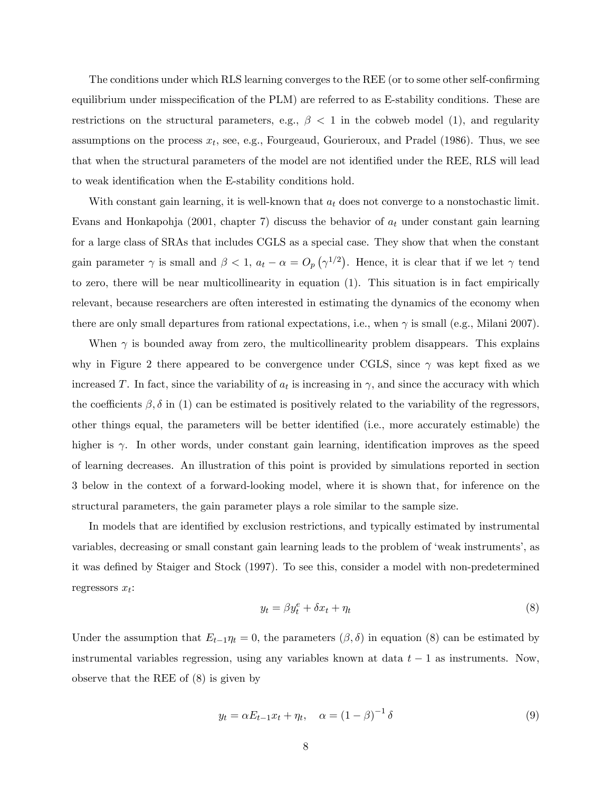The conditions under which RLS learning converges to the REE (or to some other self-confirming equilibrium under misspecification of the PLM) are referred to as E-stability conditions. These are restrictions on the structural parameters, e.g.,  $\beta$  < 1 in the cobweb model (1), and regularity assumptions on the process  $x_t$ , see, e.g., Fourgeaud, Gourieroux, and Pradel (1986). Thus, we see that when the structural parameters of the model are not identified under the REE, RLS will lead to weak identification when the E-stability conditions hold.

With constant gain learning, it is well-known that  $a_t$  does not converge to a nonstochastic limit. Evans and Honkapohja (2001, chapter 7) discuss the behavior of  $a_t$  under constant gain learning for a large class of SRAs that includes CGLS as a special case. They show that when the constant gain parameter  $\gamma$  is small and  $\beta < 1$ ,  $a_t - \alpha = O_p(\gamma^{1/2})$ . Hence, it is clear that if we let  $\gamma$  tend to zero, there will be near multicollinearity in equation (1). This situation is in fact empirically relevant, because researchers are often interested in estimating the dynamics of the economy when there are only small departures from rational expectations, i.e., when  $\gamma$  is small (e.g., Milani 2007).

When  $\gamma$  is bounded away from zero, the multicollinearity problem disappears. This explains why in Figure 2 there appeared to be convergence under CGLS, since  $\gamma$  was kept fixed as we increased T. In fact, since the variability of  $a_t$  is increasing in  $\gamma$ , and since the accuracy with which the coefficients  $\beta$ ,  $\delta$  in (1) can be estimated is positively related to the variability of the regressors, other things equal, the parameters will be better identified (i.e., more accurately estimable) the higher is  $\gamma$ . In other words, under constant gain learning, identification improves as the speed of learning decreases. An illustration of this point is provided by simulations reported in section 3 below in the context of a forward-looking model, where it is shown that, for inference on the structural parameters, the gain parameter plays a role similar to the sample size.

In models that are identified by exclusion restrictions, and typically estimated by instrumental variables, decreasing or small constant gain learning leads to the problem of 'weak instruments', as it was defined by Staiger and Stock (1997). To see this, consider a model with non-predetermined regressors  $x_t$ :

$$
y_t = \beta y_t^e + \delta x_t + \eta_t \tag{8}
$$

Under the assumption that  $E_{t-1}\eta_t = 0$ , the parameters  $(\beta, \delta)$  in equation (8) can be estimated by instrumental variables regression, using any variables known at data  $t - 1$  as instruments. Now, observe that the REE of (8) is given by

$$
y_t = \alpha E_{t-1} x_t + \eta_t, \quad \alpha = (1 - \beta)^{-1} \delta \tag{9}
$$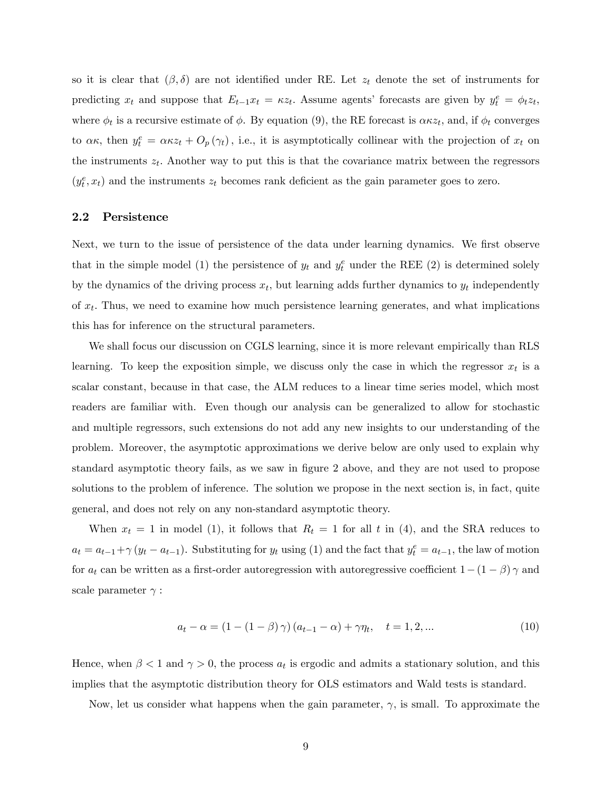so it is clear that  $(\beta, \delta)$  are not identified under RE. Let  $z_t$  denote the set of instruments for predicting  $x_t$  and suppose that  $E_{t-1}x_t = \kappa z_t$ . Assume agents' forecasts are given by  $y_t^e = \phi_t z_t$ , where  $\phi_t$  is a recursive estimate of  $\phi$ . By equation (9), the RE forecast is  $\alpha \kappa z_t$ , and, if  $\phi_t$  converges to  $\alpha \kappa$ , then  $y_t^e = \alpha \kappa z_t + O_p(\gamma_t)$ , i.e., it is asymptotically collinear with the projection of  $x_t$  on the instruments  $z_t$ . Another way to put this is that the covariance matrix between the regressors  $(y_t^e, x_t)$  and the instruments  $z_t$  becomes rank deficient as the gain parameter goes to zero.

## 2.2 Persistence

Next, we turn to the issue of persistence of the data under learning dynamics. We first observe that in the simple model (1) the persistence of  $y_t$  and  $y_t^e$  under the REE (2) is determined solely by the dynamics of the driving process  $x_t$ , but learning adds further dynamics to  $y_t$  independently of  $x_t$ . Thus, we need to examine how much persistence learning generates, and what implications this has for inference on the structural parameters.

We shall focus our discussion on CGLS learning, since it is more relevant empirically than RLS learning. To keep the exposition simple, we discuss only the case in which the regressor  $x_t$  is a scalar constant, because in that case, the ALM reduces to a linear time series model, which most readers are familiar with. Even though our analysis can be generalized to allow for stochastic and multiple regressors, such extensions do not add any new insights to our understanding of the problem. Moreover, the asymptotic approximations we derive below are only used to explain why standard asymptotic theory fails, as we saw in figure 2 above, and they are not used to propose solutions to the problem of inference. The solution we propose in the next section is, in fact, quite general, and does not rely on any non-standard asymptotic theory.

When  $x_t = 1$  in model (1), it follows that  $R_t = 1$  for all t in (4), and the SRA reduces to  $a_t = a_{t-1} + \gamma (y_t - a_{t-1})$ . Substituting for  $y_t$  using (1) and the fact that  $y_t^e = a_{t-1}$ , the law of motion for  $a_t$  can be written as a first-order autoregression with autoregressive coefficient  $1-(1-\beta)\gamma$  and scale parameter  $\gamma$ :

$$
a_t - \alpha = (1 - (1 - \beta)\gamma)(a_{t-1} - \alpha) + \gamma\eta_t, \quad t = 1, 2, ... \tag{10}
$$

Hence, when  $\beta < 1$  and  $\gamma > 0$ , the process  $a_t$  is ergodic and admits a stationary solution, and this implies that the asymptotic distribution theory for OLS estimators and Wald tests is standard.

Now, let us consider what happens when the gain parameter,  $\gamma$ , is small. To approximate the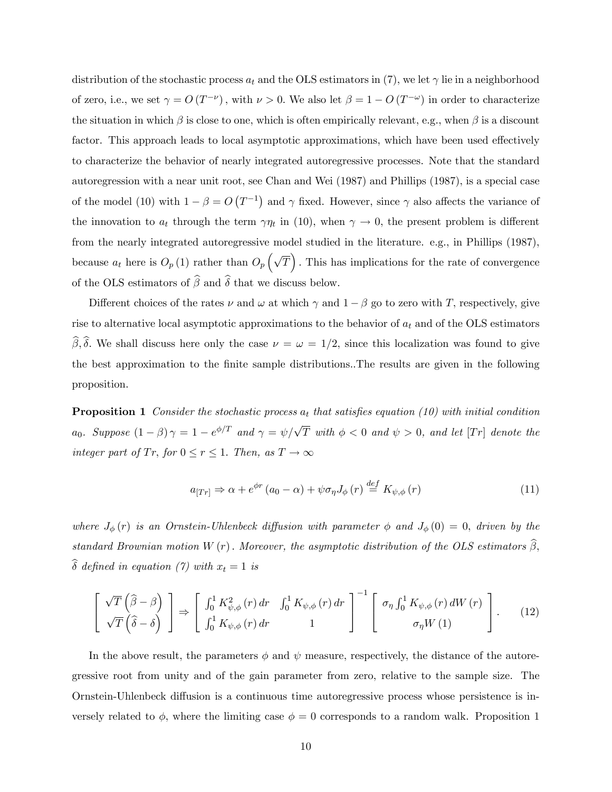distribution of the stochastic process  $a_t$  and the OLS estimators in (7), we let  $\gamma$  lie in a neighborhood of zero, i.e., we set  $\gamma = O(T^{-\nu})$ , with  $\nu > 0$ . We also let  $\beta = 1 - O(T^{-\omega})$  in order to characterize the situation in which  $\beta$  is close to one, which is often empirically relevant, e.g., when  $\beta$  is a discount factor. This approach leads to local asymptotic approximations, which have been used effectively to characterize the behavior of nearly integrated autoregressive processes. Note that the standard autoregression with a near unit root, see Chan and Wei (1987) and Phillips (1987), is a special case of the model (10) with  $1 - \beta = O(T^{-1})$  and  $\gamma$  fixed. However, since  $\gamma$  also affects the variance of the innovation to  $a_t$  through the term  $\gamma \eta_t$  in (10), when  $\gamma \to 0$ , the present problem is different from the nearly integrated autoregressive model studied in the literature. e.g., in Phillips (1987), because  $a_t$  here is  $O_p(1)$  rather than  $O_p(\sqrt{T})$ . This has implications for the rate of convergence of the OLS estimators of  $\widehat{\beta}$  and  $\widehat{\delta}$  that we discuss below.

Different choices of the rates  $\nu$  and  $\omega$  at which  $\gamma$  and  $1-\beta$  go to zero with T, respectively, give rise to alternative local asymptotic approximations to the behavior of  $a_t$  and of the OLS estimators  $\widehat{\beta}, \widehat{\delta}$ . We shall discuss here only the case  $\nu = \omega = 1/2$ , since this localization was found to give the best approximation to the Önite sample distributions.:The results are given in the following proposition.

**Proposition 1** Consider the stochastic process  $a_t$  that satisfies equation (10) with initial condition  $a_0$ . Suppose  $(1 - \beta) \gamma = 1 - e^{\phi/T}$  and  $\gamma = \psi/\sqrt{T}$  with  $\phi < 0$  and  $\psi > 0$ , and let [Tr] denote the integer part of Tr, for  $0 \le r \le 1$ . Then, as  $T \to \infty$ 

$$
a_{[Tr]} \Rightarrow \alpha + e^{\phi r} (a_0 - \alpha) + \psi \sigma_\eta J_\phi (r) \stackrel{def}{=} K_{\psi, \phi} (r)
$$
 (11)

where  $J_{\phi}(r)$  is an Ornstein-Uhlenbeck diffusion with parameter  $\phi$  and  $J_{\phi}(0) = 0$ , driven by the standard Brownian motion W (r). Moreover, the asymptotic distribution of the OLS estimators  $\widehat{\beta}$ ,  $\widehat{\delta}$  defined in equation (7) with  $x_t = 1$  is

$$
\begin{bmatrix}\n\sqrt{T}\left(\widehat{\beta}-\beta\right) \\
\sqrt{T}\left(\widehat{\delta}-\delta\right)\n\end{bmatrix} \Rightarrow \begin{bmatrix}\n\int_0^1 K_{\psi,\phi}^2(r) dr & \int_0^1 K_{\psi,\phi}(r) dr \\
\int_0^1 K_{\psi,\phi}(r) dr & 1\n\end{bmatrix}^{-1} \begin{bmatrix}\n\sigma_\eta \int_0^1 K_{\psi,\phi}(r) dW(r) \\
\sigma_\eta W(1)\n\end{bmatrix}.
$$
\n(12)

In the above result, the parameters  $\phi$  and  $\psi$  measure, respectively, the distance of the autoregressive root from unity and of the gain parameter from zero, relative to the sample size. The Ornstein-Uhlenbeck diffusion is a continuous time autoregressive process whose persistence is inversely related to  $\phi$ , where the limiting case  $\phi = 0$  corresponds to a random walk. Proposition 1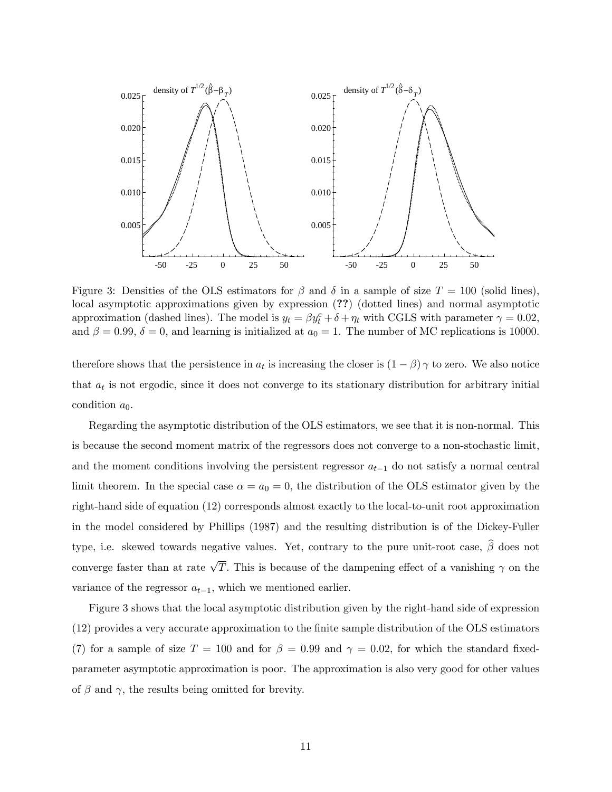

Figure 3: Densities of the OLS estimators for  $\beta$  and  $\delta$  in a sample of size  $T = 100$  (solid lines), local asymptotic approximations given by expression (??) (dotted lines) and normal asymptotic approximation (dashed lines). The model is  $y_t = \beta y_t^e + \delta + \eta_t$  with CGLS with parameter  $\gamma = 0.02$ , and  $\beta = 0.99$ ,  $\delta = 0$ , and learning is initialized at  $a_0 = 1$ . The number of MC replications is 10000.

therefore shows that the persistence in  $a_t$  is increasing the closer is  $(1 - \beta)$   $\gamma$  to zero. We also notice that  $a_t$  is not ergodic, since it does not converge to its stationary distribution for arbitrary initial condition  $a_0$ .

Regarding the asymptotic distribution of the OLS estimators, we see that it is non-normal. This is because the second moment matrix of the regressors does not converge to a non-stochastic limit, and the moment conditions involving the persistent regressor  $a_{t-1}$  do not satisfy a normal central limit theorem. In the special case  $\alpha = a_0 = 0$ , the distribution of the OLS estimator given by the right-hand side of equation (12) corresponds almost exactly to the local-to-unit root approximation in the model considered by Phillips (1987) and the resulting distribution is of the Dickey-Fuller type, i.e. skewed towards negative values. Yet, contrary to the pure unit-root case,  $\widehat{\beta}$  does not converge faster than at rate  $\sqrt{T}$ . This is because of the dampening effect of a vanishing  $\gamma$  on the variance of the regressor  $a_{t-1}$ , which we mentioned earlier.

Figure 3 shows that the local asymptotic distribution given by the right-hand side of expression (12) provides a very accurate approximation to the Önite sample distribution of the OLS estimators (7) for a sample of size  $T = 100$  and for  $\beta = 0.99$  and  $\gamma = 0.02$ , for which the standard fixedparameter asymptotic approximation is poor. The approximation is also very good for other values of  $\beta$  and  $\gamma$ , the results being omitted for brevity.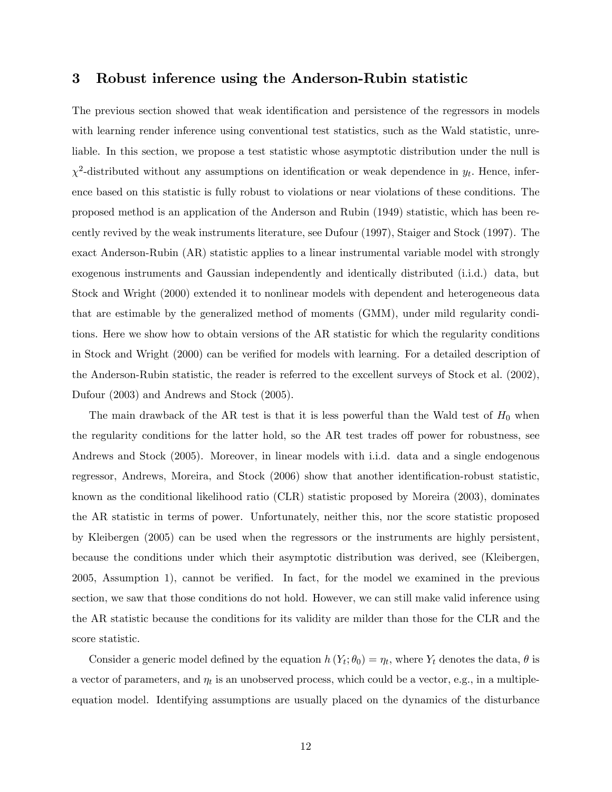## 3 Robust inference using the Anderson-Rubin statistic

The previous section showed that weak identification and persistence of the regressors in models with learning render inference using conventional test statistics, such as the Wald statistic, unreliable. In this section, we propose a test statistic whose asymptotic distribution under the null is  $\chi^2$ -distributed without any assumptions on identification or weak dependence in  $y_t$ . Hence, inference based on this statistic is fully robust to violations or near violations of these conditions. The proposed method is an application of the Anderson and Rubin (1949) statistic, which has been recently revived by the weak instruments literature, see Dufour (1997), Staiger and Stock (1997). The exact Anderson-Rubin (AR) statistic applies to a linear instrumental variable model with strongly exogenous instruments and Gaussian independently and identically distributed (i.i.d.) data, but Stock and Wright (2000) extended it to nonlinear models with dependent and heterogeneous data that are estimable by the generalized method of moments (GMM), under mild regularity conditions. Here we show how to obtain versions of the AR statistic for which the regularity conditions in Stock and Wright (2000) can be verified for models with learning. For a detailed description of the Anderson-Rubin statistic, the reader is referred to the excellent surveys of Stock et al. (2002), Dufour (2003) and Andrews and Stock (2005).

The main drawback of the AR test is that it is less powerful than the Wald test of  $H_0$  when the regularity conditions for the latter hold, so the AR test trades of power for robustness, see Andrews and Stock (2005). Moreover, in linear models with i.i.d. data and a single endogenous regressor, Andrews, Moreira, and Stock (2006) show that another identification-robust statistic, known as the conditional likelihood ratio (CLR) statistic proposed by Moreira (2003), dominates the AR statistic in terms of power. Unfortunately, neither this, nor the score statistic proposed by Kleibergen (2005) can be used when the regressors or the instruments are highly persistent, because the conditions under which their asymptotic distribution was derived, see (Kleibergen, 2005, Assumption 1), cannot be verified. In fact, for the model we examined in the previous section, we saw that those conditions do not hold. However, we can still make valid inference using the AR statistic because the conditions for its validity are milder than those for the CLR and the score statistic.

Consider a generic model defined by the equation  $h(Y_t; \theta_0) = \eta_t$ , where  $Y_t$  denotes the data,  $\theta$  is a vector of parameters, and  $\eta_t$  is an unobserved process, which could be a vector, e.g., in a multipleequation model. Identifying assumptions are usually placed on the dynamics of the disturbance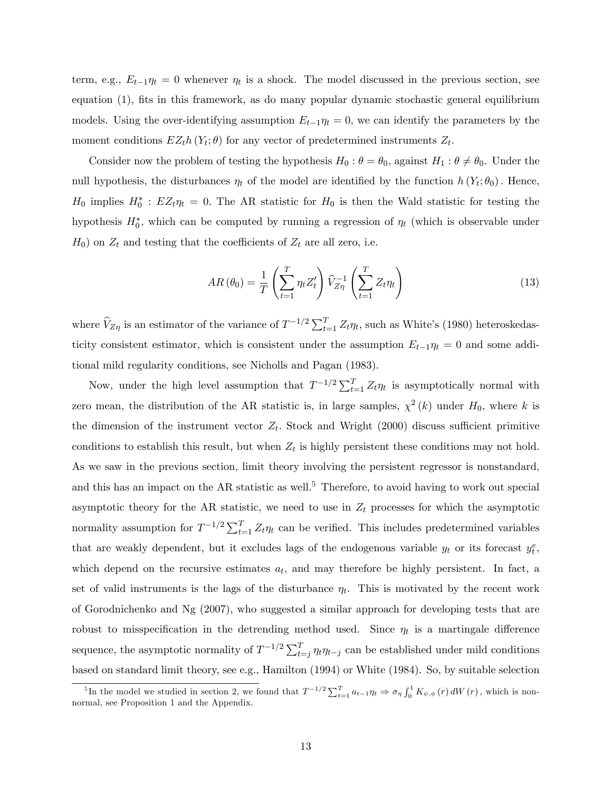term, e.g.,  $E_{t-1}\eta_t = 0$  whenever  $\eta_t$  is a shock. The model discussed in the previous section, see equation  $(1)$ , fits in this framework, as do many popular dynamic stochastic general equilibrium models. Using the over-identifying assumption  $E_{t-1}\eta_t = 0$ , we can identify the parameters by the moment conditions  $EZ<sub>t</sub>h(Y<sub>t</sub>; \theta)$  for any vector of predetermined instruments  $Z<sub>t</sub>$ .

Consider now the problem of testing the hypothesis  $H_0$ :  $\theta = \theta_0$ , against  $H_1$ :  $\theta \neq \theta_0$ . Under the null hypothesis, the disturbances  $\eta_t$  of the model are identified by the function  $h(Y_t; \theta_0)$ . Hence,  $H_0$  implies  $H_0^*$ :  $EZ_t\eta_t = 0$ . The AR statistic for  $H_0$  is then the Wald statistic for testing the hypothesis  $H_0^*$ , which can be computed by running a regression of  $\eta_t$  (which is observable under  $H_0$ ) on  $Z_t$  and testing that the coefficients of  $Z_t$  are all zero, i.e.

$$
AR(\theta_0) = \frac{1}{T} \left( \sum_{t=1}^T \eta_t Z_t' \right) \widehat{V}_{Z\eta}^{-1} \left( \sum_{t=1}^T Z_t \eta_t \right)
$$
(13)

where  $\hat{V}_{Z\eta}$  is an estimator of the variance of  $T^{-1/2}\sum_{t=1}^{T} Z_t \eta_t$ , such as White's (1980) heteroskedasticity consistent estimator, which is consistent under the assumption  $E_{t-1}\eta_t = 0$  and some additional mild regularity conditions, see Nicholls and Pagan (1983).

Now, under the high level assumption that  $T^{-1/2} \sum_{t=1}^{T} Z_t \eta_t$  is asymptotically normal with zero mean, the distribution of the AR statistic is, in large samples,  $\chi^2(k)$  under  $H_0$ , where k is the dimension of the instrument vector  $Z_t$ . Stock and Wright (2000) discuss sufficient primitive conditions to establish this result, but when  $Z_t$  is highly persistent these conditions may not hold. As we saw in the previous section, limit theory involving the persistent regressor is nonstandard, and this has an impact on the  $AR$  statistic as well.<sup>5</sup> Therefore, to avoid having to work out special asymptotic theory for the AR statistic, we need to use in  $Z_t$  processes for which the asymptotic normality assumption for  $T^{-1/2} \sum_{t=1}^{T} Z_t \eta_t$  can be verified. This includes predetermined variables that are weakly dependent, but it excludes lags of the endogenous variable  $y_t$  or its forecast  $y_t^e$ , which depend on the recursive estimates  $a_t$ , and may therefore be highly persistent. In fact, a set of valid instruments is the lags of the disturbance  $\eta_t$ . This is motivated by the recent work of Gorodnichenko and Ng (2007), who suggested a similar approach for developing tests that are robust to misspecification in the detrending method used. Since  $\eta_t$  is a martingale difference sequence, the asymptotic normality of  $T^{-1/2} \sum_{t=j}^{T} \eta_t \eta_{t-j}$  can be established under mild conditions based on standard limit theory, see e.g., Hamilton (1994) or White (1984). So, by suitable selection

<sup>&</sup>lt;sup>5</sup>In the model we studied in section 2, we found that  $T^{-1/2} \sum_{t=1}^{T} a_{t-1} \eta_t \Rightarrow \sigma_{\eta} \int_0^1 K_{\psi,\phi}(r) dW(r)$ , which is nonnormal, see Proposition 1 and the Appendix.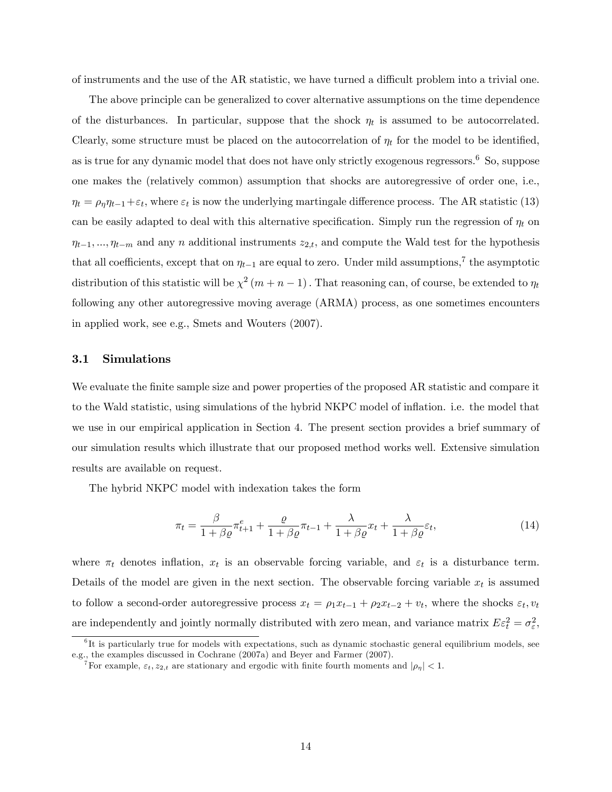of instruments and the use of the AR statistic, we have turned a difficult problem into a trivial one.

The above principle can be generalized to cover alternative assumptions on the time dependence of the disturbances. In particular, suppose that the shock  $\eta_t$  is assumed to be autocorrelated. Clearly, some structure must be placed on the autocorrelation of  $\eta_t$  for the model to be identified, as is true for any dynamic model that does not have only strictly exogenous regressors.<sup>6</sup> So, suppose one makes the (relatively common) assumption that shocks are autoregressive of order one, i.e.,  $\eta_t = \rho_\eta \eta_{t-1} + \varepsilon_t$ , where  $\varepsilon_t$  is now the underlying martingale difference process. The AR statistic (13) can be easily adapted to deal with this alternative specification. Simply run the regression of  $\eta_t$  on  $\eta_{t-1}, \ldots, \eta_{t-m}$  and any n additional instruments  $z_{2,t}$ , and compute the Wald test for the hypothesis that all coefficients, except that on  $\eta_{t-1}$  are equal to zero. Under mild assumptions,<sup>7</sup> the asymptotic distribution of this statistic will be  $\chi^2(m+n-1)$ . That reasoning can, of course, be extended to  $\eta_t$ following any other autoregressive moving average (ARMA) process, as one sometimes encounters in applied work, see e.g., Smets and Wouters (2007).

#### 3.1 Simulations

We evaluate the finite sample size and power properties of the proposed AR statistic and compare it to the Wald statistic, using simulations of the hybrid NKPC model of ináation. i.e. the model that we use in our empirical application in Section 4. The present section provides a brief summary of our simulation results which illustrate that our proposed method works well. Extensive simulation results are available on request.

The hybrid NKPC model with indexation takes the form

$$
\pi_t = \frac{\beta}{1 + \beta \varrho} \pi_{t+1}^e + \frac{\varrho}{1 + \beta \varrho} \pi_{t-1} + \frac{\lambda}{1 + \beta \varrho} x_t + \frac{\lambda}{1 + \beta \varrho} \varepsilon_t,\tag{14}
$$

where  $\pi_t$  denotes inflation,  $x_t$  is an observable forcing variable, and  $\varepsilon_t$  is a disturbance term. Details of the model are given in the next section. The observable forcing variable  $x_t$  is assumed to follow a second-order autoregressive process  $x_t = \rho_1 x_{t-1} + \rho_2 x_{t-2} + v_t$ , where the shocks  $\varepsilon_t, v_t$ are independently and jointly normally distributed with zero mean, and variance matrix  $E\varepsilon_t^2 = \sigma_{\varepsilon}^2$ ,

<sup>&</sup>lt;sup>6</sup>It is particularly true for models with expectations, such as dynamic stochastic general equilibrium models, see e.g., the examples discussed in Cochrane (2007a) and Beyer and Farmer (2007).

<sup>&</sup>lt;sup>7</sup>For example,  $\varepsilon_t$ ,  $z_{2,t}$  are stationary and ergodic with finite fourth moments and  $|\rho_{\eta}| < 1$ .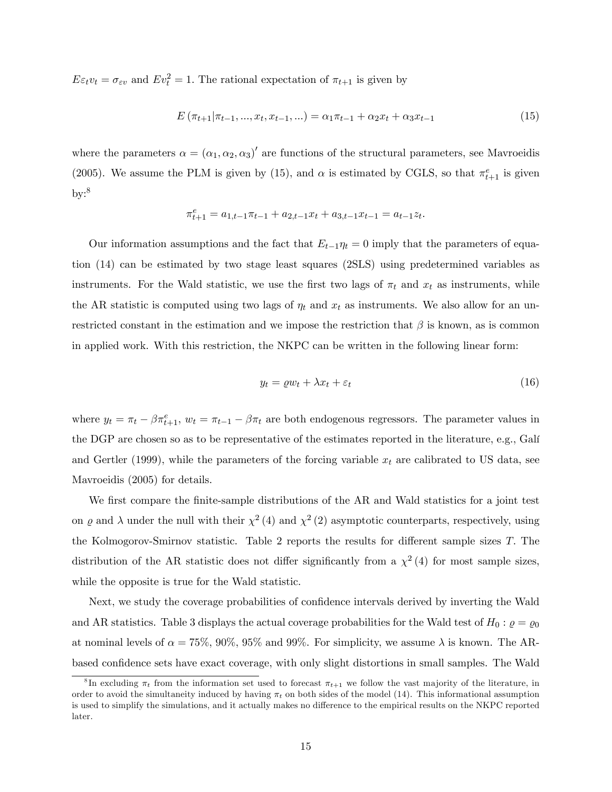$E\varepsilon_t v_t = \sigma_{\varepsilon v}$  and  $E v_t^2 = 1$ . The rational expectation of  $\pi_{t+1}$  is given by

$$
E(\pi_{t+1}|\pi_{t-1},...,x_t,x_{t-1},...) = \alpha_1 \pi_{t-1} + \alpha_2 x_t + \alpha_3 x_{t-1}
$$
\n(15)

where the parameters  $\alpha = (\alpha_1, \alpha_2, \alpha_3)'$  are functions of the structural parameters, see Mavroeidis (2005). We assume the PLM is given by (15), and  $\alpha$  is estimated by CGLS, so that  $\pi_{t+1}^e$  is given  $\rm{by:}^8$ 

$$
\pi_{t+1}^e = a_{1,t-1}\pi_{t-1} + a_{2,t-1}x_t + a_{3,t-1}x_{t-1} = a_{t-1}z_t.
$$

Our information assumptions and the fact that  $E_{t-1}\eta_t = 0$  imply that the parameters of equation (14) can be estimated by two stage least squares (2SLS) using predetermined variables as instruments. For the Wald statistic, we use the first two lags of  $\pi_t$  and  $x_t$  as instruments, while the AR statistic is computed using two lags of  $\eta_t$  and  $x_t$  as instruments. We also allow for an unrestricted constant in the estimation and we impose the restriction that  $\beta$  is known, as is common in applied work. With this restriction, the NKPC can be written in the following linear form:

$$
y_t = \varrho w_t + \lambda x_t + \varepsilon_t \tag{16}
$$

where  $y_t = \pi_t - \beta \pi_{t+1}^e$ ,  $w_t = \pi_{t-1} - \beta \pi_t$  are both endogenous regressors. The parameter values in the DGP are chosen so as to be representative of the estimates reported in the literature, e.g., Galí and Gertler (1999), while the parameters of the forcing variable  $x_t$  are calibrated to US data, see Mavroeidis (2005) for details.

We first compare the finite-sample distributions of the AR and Wald statistics for a joint test on  $\varrho$  and  $\lambda$  under the null with their  $\chi^2(4)$  and  $\chi^2(2)$  asymptotic counterparts, respectively, using the Kolmogorov-Smirnov statistic. Table 2 reports the results for different sample sizes  $T$ . The distribution of the AR statistic does not differ significantly from a  $\chi^2(4)$  for most sample sizes, while the opposite is true for the Wald statistic.

Next, we study the coverage probabilities of confidence intervals derived by inverting the Wald and AR statistics. Table 3 displays the actual coverage probabilities for the Wald test of  $H_0: \varrho = \varrho_0$ at nominal levels of  $\alpha = 75\%$ , 90%, 95% and 99%. For simplicity, we assume  $\lambda$  is known. The ARbased confidence sets have exact coverage, with only slight distortions in small samples. The Wald

<sup>&</sup>lt;sup>8</sup>In excluding  $\pi_t$  from the information set used to forecast  $\pi_{t+1}$  we follow the vast majority of the literature, in order to avoid the simultaneity induced by having  $\pi_t$  on both sides of the model (14). This informational assumption is used to simplify the simulations, and it actually makes no difference to the empirical results on the NKPC reported later.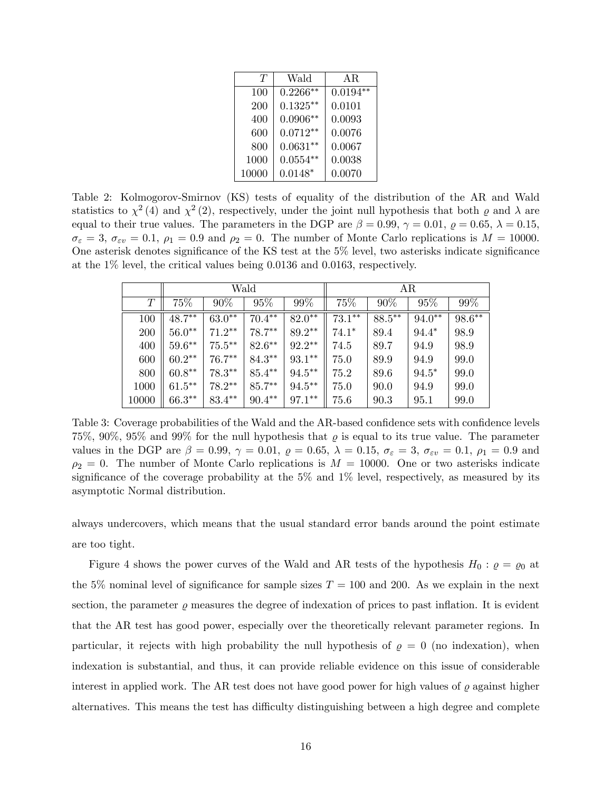| T     | Wald       | AR.        |
|-------|------------|------------|
| 100   | $0.2266**$ | $0.0194**$ |
| 200   | $0.1325**$ | 0.0101     |
| 400   | $0.0906**$ | 0.0093     |
| 600   | $0.0712**$ | 0.0076     |
| 800   | $0.0631**$ | 0.0067     |
| 1000  | $0.0554**$ | 0.0038     |
| 10000 | $0.0148*$  | 0.0070     |

Table 2: Kolmogorov-Smirnov (KS) tests of equality of the distribution of the AR and Wald statistics to  $\chi^2(4)$  and  $\chi^2(2)$ , respectively, under the joint null hypothesis that both  $\varrho$  and  $\lambda$  are equal to their true values. The parameters in the DGP are  $\beta = 0.99$ ,  $\gamma = 0.01$ ,  $\varrho = 0.65$ ,  $\lambda = 0.15$ ,  $\sigma_{\varepsilon} = 3$ ,  $\sigma_{\varepsilon v} = 0.1$ ,  $\rho_1 = 0.9$  and  $\rho_2 = 0$ . The number of Monte Carlo replications is  $M = 10000$ . One asterisk denotes significance of the KS test at the  $5\%$  level, two asterisks indicate significance at the 1% level, the critical values being 0.0136 and 0.0163, respectively.

|       | Wald      |           |           |           | AR.       |        |          |           |
|-------|-----------|-----------|-----------|-----------|-----------|--------|----------|-----------|
| T     | 75%       | 90%       | 95%       | 99%       | 75%       | 90%    | 95%      | 99%       |
| 100   | $48.7***$ | $63.0**$  | $70.4***$ | $82.0**$  | $73.1***$ | 88.5** | $94.0**$ | $98.6***$ |
| 200   | $56.0**$  | $71.2**$  | $78.7***$ | $89.2**$  | $74.1*$   | 89.4   | $94.4*$  | 98.9      |
| 400   | $59.6***$ | $75.5***$ | $82.6***$ | $92.2***$ | 74.5      | 89.7   | 94.9     | 98.9      |
| 600   | $60.2**$  | $76.7***$ | $84.3***$ | $93.1***$ | 75.0      | 89.9   | 94.9     | 99.0      |
| 800   | $60.8**$  | $78.3***$ | $85.4***$ | $94.5***$ | 75.2      | 89.6   | $94.5*$  | 99.0      |
| 1000  | $61.5***$ | $78.2**$  | 85.7**    | $94.5***$ | 75.0      | 90.0   | 94.9     | 99.0      |
| 10000 | $66.3**$  | 83.4**    | $90.4***$ | 97.1**    | 75.6      | 90.3   | 95.1     | 99.0      |

Table 3: Coverage probabilities of the Wald and the AR-based confidence sets with confidence levels 75%, 90%, 95% and 99% for the null hypothesis that  $\rho$  is equal to its true value. The parameter values in the DGP are  $\beta = 0.99$ ,  $\gamma = 0.01$ ,  $\varrho = 0.65$ ,  $\lambda = 0.15$ ,  $\sigma_{\varepsilon} = 3$ ,  $\sigma_{\varepsilon v} = 0.1$ ,  $\rho_1 = 0.9$  and  $\rho_2 = 0$ . The number of Monte Carlo replications is  $M = 10000$ . One or two asterisks indicate significance of the coverage probability at the  $5\%$  and  $1\%$  level, respectively, as measured by its asymptotic Normal distribution.

always undercovers, which means that the usual standard error bands around the point estimate are too tight.

Figure 4 shows the power curves of the Wald and AR tests of the hypothesis  $H_0: \varrho = \varrho_0$  at the 5% nominal level of significance for sample sizes  $T = 100$  and 200. As we explain in the next section, the parameter  $\rho$  measures the degree of indexation of prices to past inflation. It is evident that the AR test has good power, especially over the theoretically relevant parameter regions. In particular, it rejects with high probability the null hypothesis of  $\rho = 0$  (no indexation), when indexation is substantial, and thus, it can provide reliable evidence on this issue of considerable interest in applied work. The AR test does not have good power for high values of  $\rho$  against higher alternatives. This means the test has difficulty distinguishing between a high degree and complete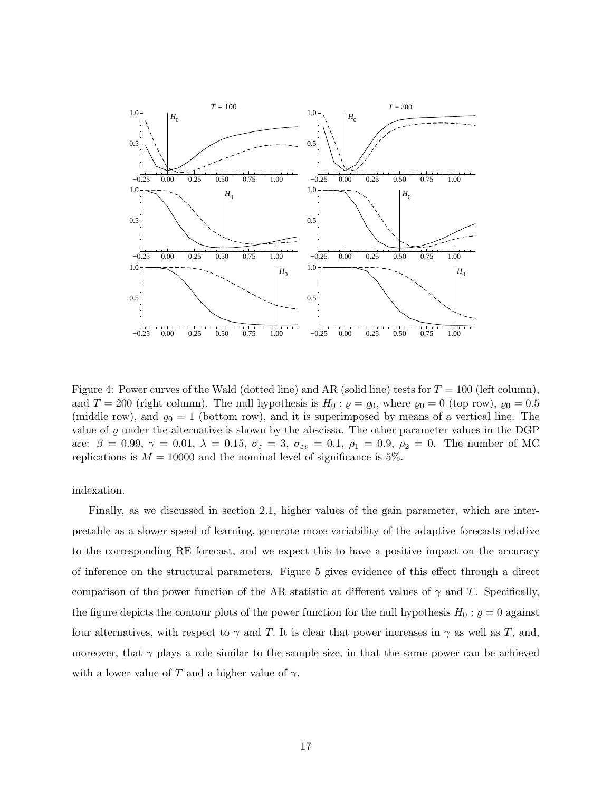

Figure 4: Power curves of the Wald (dotted line) and AR (solid line) tests for  $T = 100$  (left column), and  $T = 200$  (right column). The null hypothesis is  $H_0: \varrho = \varrho_0$ , where  $\varrho_0 = 0$  (top row),  $\varrho_0 = 0.5$ (middle row), and  $\varrho_0 = 1$  (bottom row), and it is superimposed by means of a vertical line. The value of  $\varrho$  under the alternative is shown by the abscissa. The other parameter values in the DGP are:  $\beta = 0.99, \gamma = 0.01, \lambda = 0.15, \sigma_{\epsilon} = 3, \sigma_{\epsilon v} = 0.1, \rho_1 = 0.9, \rho_2 = 0$ . The number of MC replications is  $M = 10000$  and the nominal level of significance is 5%.

indexation.

Finally, as we discussed in section 2.1, higher values of the gain parameter, which are interpretable as a slower speed of learning, generate more variability of the adaptive forecasts relative to the corresponding RE forecast, and we expect this to have a positive impact on the accuracy of inference on the structural parameters. Figure 5 gives evidence of this effect through a direct comparison of the power function of the AR statistic at different values of  $\gamma$  and T. Specifically, the figure depicts the contour plots of the power function for the null hypothesis  $H_0$  :  $\varrho = 0$  against four alternatives, with respect to  $\gamma$  and T. It is clear that power increases in  $\gamma$  as well as T, and, moreover, that  $\gamma$  plays a role similar to the sample size, in that the same power can be achieved with a lower value of T and a higher value of  $\gamma$ .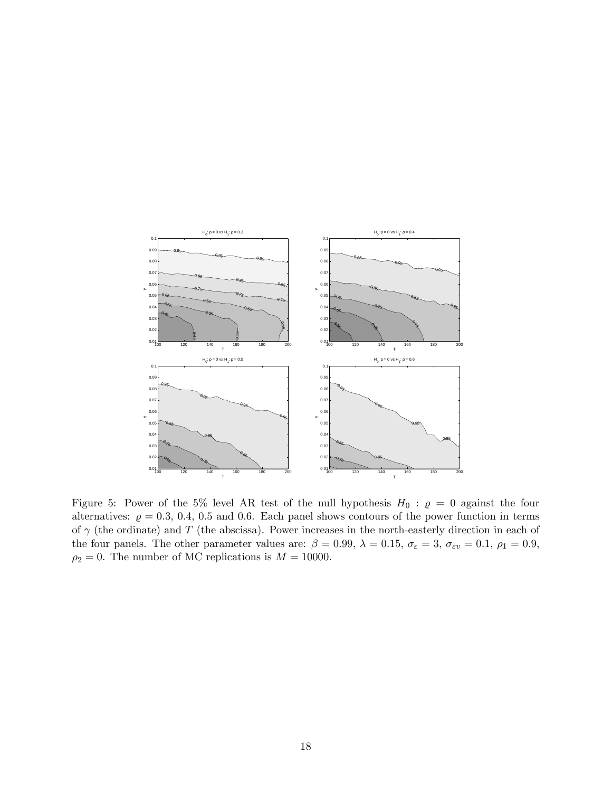

Figure 5: Power of the 5% level AR test of the null hypothesis  $H_0$ :  $\rho = 0$  against the four alternatives:  $\rho = 0.3, 0.4, 0.5$  and 0.6. Each panel shows contours of the power function in terms of  $\gamma$  (the ordinate) and T (the abscissa). Power increases in the north-easterly direction in each of the four panels. The other parameter values are:  $\beta = 0.99$ ,  $\lambda = 0.15$ ,  $\sigma_{\varepsilon} = 3$ ,  $\sigma_{\varepsilon v} = 0.1$ ,  $\rho_1 = 0.9$ ,  $\rho_2=0.$  The number of MC replications is  $M=10000.$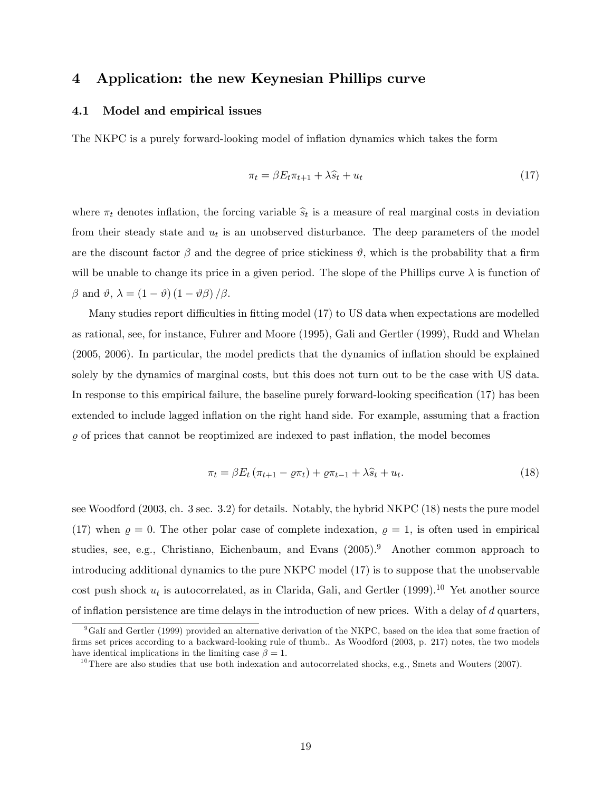## 4 Application: the new Keynesian Phillips curve

### 4.1 Model and empirical issues

The NKPC is a purely forward-looking model of inflation dynamics which takes the form

$$
\pi_t = \beta E_t \pi_{t+1} + \lambda \hat{s}_t + u_t \tag{17}
$$

where  $\pi_t$  denotes inflation, the forcing variable  $\hat{s}_t$  is a measure of real marginal costs in deviation from their steady state and  $u_t$  is an unobserved disturbance. The deep parameters of the model are the discount factor  $\beta$  and the degree of price stickiness  $\vartheta$ , which is the probability that a firm will be unable to change its price in a given period. The slope of the Phillips curve  $\lambda$  is function of  $\beta$  and  $\vartheta$ ,  $\lambda = (1 - \vartheta) (1 - \vartheta \beta) / \beta$ .

Many studies report difficulties in fitting model  $(17)$  to US data when expectations are modelled as rational, see, for instance, Fuhrer and Moore (1995), Gali and Gertler (1999), Rudd and Whelan (2005, 2006). In particular, the model predicts that the dynamics of ináation should be explained solely by the dynamics of marginal costs, but this does not turn out to be the case with US data. In response to this empirical failure, the baseline purely forward-looking specification  $(17)$  has been extended to include lagged inflation on the right hand side. For example, assuming that a fraction  $\varrho$  of prices that cannot be reoptimized are indexed to past inflation, the model becomes

$$
\pi_t = \beta E_t \left( \pi_{t+1} - \varrho \pi_t \right) + \varrho \pi_{t-1} + \lambda \widehat{s}_t + u_t. \tag{18}
$$

see Woodford (2003, ch. 3 sec. 3.2) for details. Notably, the hybrid NKPC (18) nests the pure model (17) when  $\rho = 0$ . The other polar case of complete indexation,  $\rho = 1$ , is often used in empirical studies, see, e.g., Christiano, Eichenbaum, and Evans (2005).<sup>9</sup> Another common approach to introducing additional dynamics to the pure NKPC model (17) is to suppose that the unobservable cost push shock  $u_t$  is autocorrelated, as in Clarida, Gali, and Gertler (1999).<sup>10</sup> Yet another source of inflation persistence are time delays in the introduction of new prices. With a delay of  $d$  quarters,

<sup>&</sup>lt;sup>9</sup>Galí and Gertler (1999) provided an alternative derivation of the NKPC, based on the idea that some fraction of firms set prices according to a backward-looking rule of thumb.. As Woodford (2003, p. 217) notes, the two models have identical implications in the limiting case  $\beta = 1$ .

 $10$ There are also studies that use both indexation and autocorrelated shocks, e.g., Smets and Wouters (2007).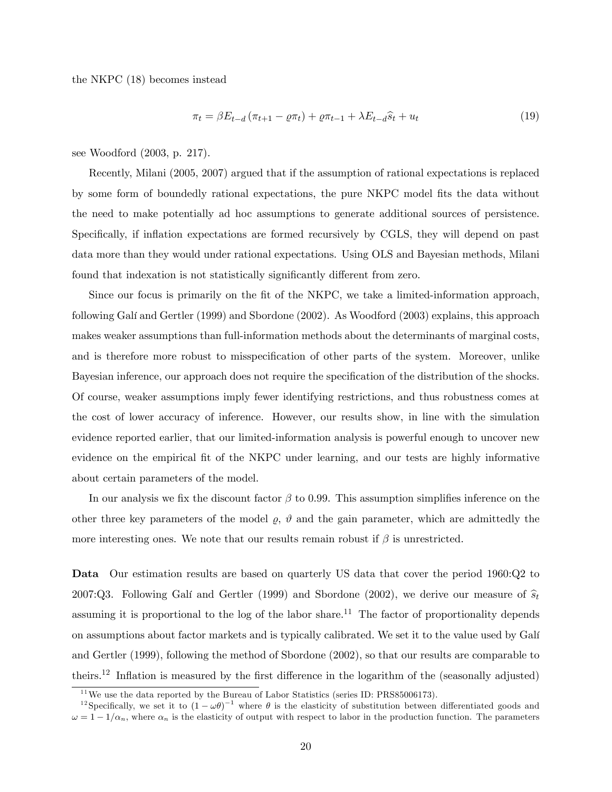the NKPC (18) becomes instead

$$
\pi_t = \beta E_{t-d} \left( \pi_{t+1} - \varrho \pi_t \right) + \varrho \pi_{t-1} + \lambda E_{t-d} \hat{s}_t + u_t \tag{19}
$$

see Woodford (2003, p. 217).

Recently, Milani (2005, 2007) argued that if the assumption of rational expectations is replaced by some form of boundedly rational expectations, the pure NKPC model fits the data without the need to make potentially ad hoc assumptions to generate additional sources of persistence. Specifically, if inflation expectations are formed recursively by CGLS, they will depend on past data more than they would under rational expectations. Using OLS and Bayesian methods, Milani found that indexation is not statistically significantly different from zero.

Since our focus is primarily on the fit of the NKPC, we take a limited-information approach, following Galí and Gertler (1999) and Sbordone (2002). As Woodford (2003) explains, this approach makes weaker assumptions than full-information methods about the determinants of marginal costs, and is therefore more robust to misspecification of other parts of the system. Moreover, unlike Bayesian inference, our approach does not require the specification of the distribution of the shocks. Of course, weaker assumptions imply fewer identifying restrictions, and thus robustness comes at the cost of lower accuracy of inference. However, our results show, in line with the simulation evidence reported earlier, that our limited-information analysis is powerful enough to uncover new evidence on the empirical fit of the NKPC under learning, and our tests are highly informative about certain parameters of the model.

In our analysis we fix the discount factor  $\beta$  to 0.99. This assumption simplifies inference on the other three key parameters of the model  $\rho$ ,  $\vartheta$  and the gain parameter, which are admittedly the more interesting ones. We note that our results remain robust if  $\beta$  is unrestricted.

Data Our estimation results are based on quarterly US data that cover the period 1960:Q2 to 2007:Q3. Following Galí and Gertler (1999) and Sbordone (2002), we derive our measure of  $\hat{s}_t$ assuming it is proportional to the log of the labor share.<sup>11</sup> The factor of proportionality depends on assumptions about factor markets and is typically calibrated. We set it to the value used by GalÌ and Gertler (1999), following the method of Sbordone (2002), so that our results are comparable to theirs.<sup>12</sup> Inflation is measured by the first difference in the logarithm of the (seasonally adjusted)

 $11$  We use the data reported by the Bureau of Labor Statistics (series ID: PRS85006173).

<sup>&</sup>lt;sup>12</sup>Specifically, we set it to  $(1 - \omega \theta)^{-1}$  where  $\theta$  is the elasticity of substitution between differentiated goods and  $\omega = 1 - 1/\alpha_n$ , where  $\alpha_n$  is the elasticity of output with respect to labor in the production function. The parameters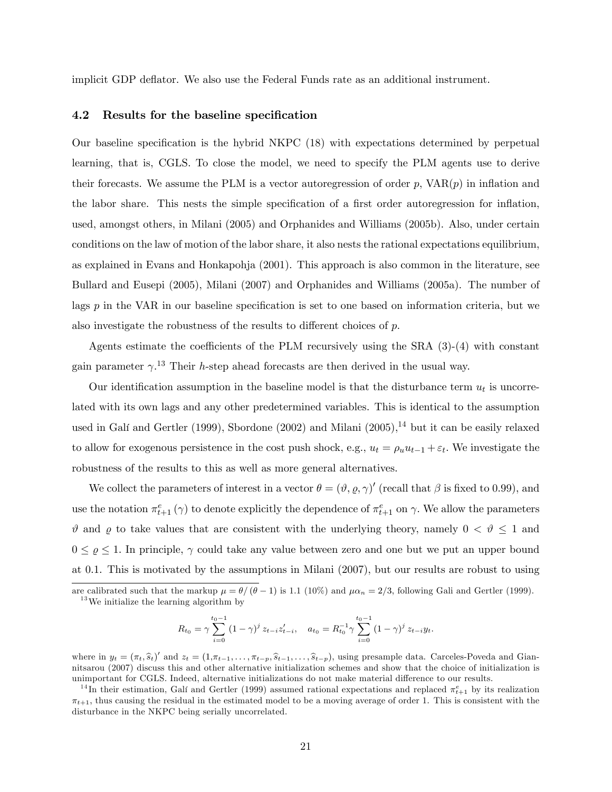implicit GDP deáator. We also use the Federal Funds rate as an additional instrument.

#### 4.2 Results for the baseline specification

Our baseline specification is the hybrid NKPC (18) with expectations determined by perpetual learning, that is, CGLS. To close the model, we need to specify the PLM agents use to derive their forecasts. We assume the PLM is a vector autoregression of order  $p$ ,  $VAR(p)$  in inflation and the labor share. This nests the simple specification of a first order autoregression for inflation, used, amongst others, in Milani (2005) and Orphanides and Williams (2005b). Also, under certain conditions on the law of motion of the labor share, it also nests the rational expectations equilibrium, as explained in Evans and Honkapohja (2001). This approach is also common in the literature, see Bullard and Eusepi (2005), Milani (2007) and Orphanides and Williams (2005a). The number of lags  $p$  in the VAR in our baseline specification is set to one based on information criteria, but we also investigate the robustness of the results to different choices of  $p$ .

Agents estimate the coefficients of the PLM recursively using the SRA  $(3)-(4)$  with constant gain parameter  $\gamma^{13}$ . Their *h*-step ahead forecasts are then derived in the usual way.

Our identification assumption in the baseline model is that the disturbance term  $u_t$  is uncorrelated with its own lags and any other predetermined variables. This is identical to the assumption used in Galí and Gertler (1999), Sbordone (2002) and Milani (2005),<sup>14</sup> but it can be easily relaxed to allow for exogenous persistence in the cost push shock, e.g.,  $u_t = \rho_u u_{t-1} + \varepsilon_t$ . We investigate the robustness of the results to this as well as more general alternatives.

We collect the parameters of interest in a vector  $\theta = (\vartheta, \varrho, \gamma)'$  (recall that  $\beta$  is fixed to 0.99), and use the notation  $\pi_{t+1}^e(\gamma)$  to denote explicitly the dependence of  $\pi_{t+1}^e$  on  $\gamma$ . We allow the parameters  $\vartheta$  and  $\varrho$  to take values that are consistent with the underlying theory, namely  $0 < \vartheta \le 1$  and  $0 \leq \varrho \leq 1$ . In principle,  $\gamma$  could take any value between zero and one but we put an upper bound at 0.1. This is motivated by the assumptions in Milani (2007), but our results are robust to using

are calibrated such that the markup  $\mu = \theta/(\theta - 1)$  is 1.1 (10%) and  $\mu \alpha_n = 2/3$ , following Gali and Gertler (1999).  $^{13}\mathrm{We}$  initialize the learning algorithm by

$$
R_{t_0} = \gamma \sum_{i=0}^{t_0-1} (1-\gamma)^i z_{t-i} z'_{t-i}, \quad a_{t_0} = R_{t_0}^{-1} \gamma \sum_{i=0}^{t_0-1} (1-\gamma)^i z_{t-i} y_t.
$$

where in  $y_t = (\pi_t, \hat{s}_t)'$  and  $z_t = (1, \pi_{t-1}, \dots, \pi_{t-p}, \hat{s}_{t-1}, \dots, \hat{s}_{t-p})$ , using presample data. Carceles-Poveda and Giannitsarou (2007) discuss this and other alternative initialization schemes and show that the choice of initialization is unimportant for CGLS. Indeed, alternative initializations do not make material difference to our results.

<sup>&</sup>lt;sup>14</sup>In their estimation, Galí and Gertler (1999) assumed rational expectations and replaced  $\pi_{t+1}^e$  by its realization  $\pi_{t+1}$ , thus causing the residual in the estimated model to be a moving average of order 1. This is consistent with the disturbance in the NKPC being serially uncorrelated.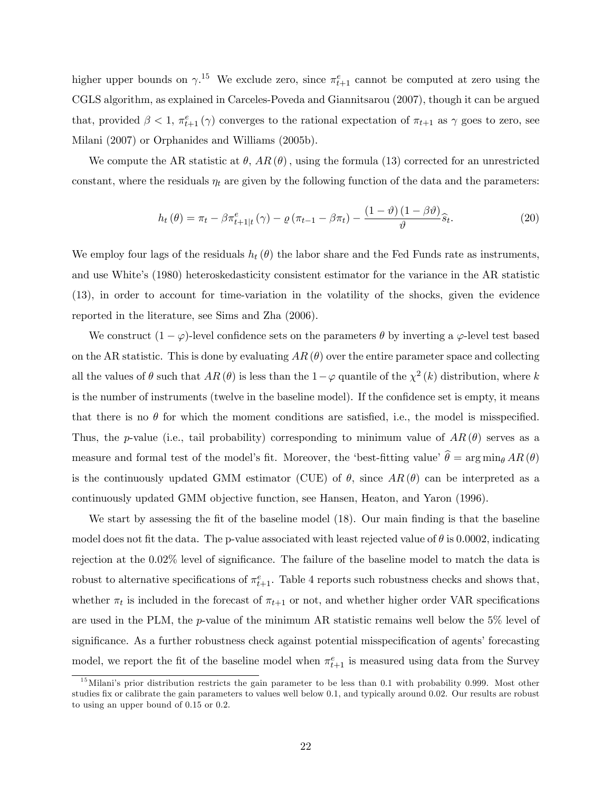higher upper bounds on  $\gamma$ .<sup>15</sup> We exclude zero, since  $\pi_{t+1}^e$  cannot be computed at zero using the CGLS algorithm, as explained in Carceles-Poveda and Giannitsarou (2007), though it can be argued that, provided  $\beta < 1$ ,  $\pi_{t+1}^e(\gamma)$  converges to the rational expectation of  $\pi_{t+1}$  as  $\gamma$  goes to zero, see Milani (2007) or Orphanides and Williams (2005b).

We compute the AR statistic at  $\theta$ , AR $(\theta)$ , using the formula (13) corrected for an unrestricted constant, where the residuals  $\eta_t$  are given by the following function of the data and the parameters:

$$
h_t(\theta) = \pi_t - \beta \pi_{t+1|t}^e(\gamma) - \varrho (\pi_{t-1} - \beta \pi_t) - \frac{(1-\vartheta)(1-\beta\vartheta)}{\vartheta} \hat{s}_t.
$$
 (20)

We employ four lags of the residuals  $h_t(\theta)$  the labor share and the Fed Funds rate as instruments, and use White's (1980) heteroskedasticity consistent estimator for the variance in the AR statistic (13), in order to account for time-variation in the volatility of the shocks, given the evidence reported in the literature, see Sims and Zha (2006).

We construct  $(1 - \varphi)$ -level confidence sets on the parameters  $\theta$  by inverting a  $\varphi$ -level test based on the AR statistic. This is done by evaluating  $AR(\theta)$  over the entire parameter space and collecting all the values of  $\theta$  such that  $AR(\theta)$  is less than the  $1-\varphi$  quantile of the  $\chi^2(k)$  distribution, where k is the number of instruments (twelve in the baseline model). If the confidence set is empty, it means that there is no  $\theta$  for which the moment conditions are satisfied, i.e., the model is misspecified. Thus, the p-value (i.e., tail probability) corresponding to minimum value of  $AR(\theta)$  serves as a measure and formal test of the model's fit. Moreover, the 'best-fitting value'  $\hat{\theta} = \arg \min_{\theta} AR(\theta)$ is the continuously updated GMM estimator (CUE) of  $\theta$ , since  $AR(\theta)$  can be interpreted as a continuously updated GMM objective function, see Hansen, Heaton, and Yaron (1996).

We start by assessing the fit of the baseline model  $(18)$ . Our main finding is that the baseline model does not fit the data. The p-value associated with least rejected value of  $\theta$  is 0.0002, indicating rejection at the 0.02% level of significance. The failure of the baseline model to match the data is robust to alternative specifications of  $\pi_{t+1}^e$ . Table 4 reports such robustness checks and shows that, whether  $\pi_t$  is included in the forecast of  $\pi_{t+1}$  or not, and whether higher order VAR specifications are used in the PLM, the p-value of the minimum AR statistic remains well below the  $5\%$  level of significance. As a further robustness check against potential misspecification of agents' forecasting model, we report the fit of the baseline model when  $\pi_{t+1}^e$  is measured using data from the Survey

 $15$ Milani's prior distribution restricts the gain parameter to be less than 0.1 with probability 0.999. Most other studies fix or calibrate the gain parameters to values well below 0.1, and typically around 0.02. Our results are robust to using an upper bound of 0.15 or 0.2: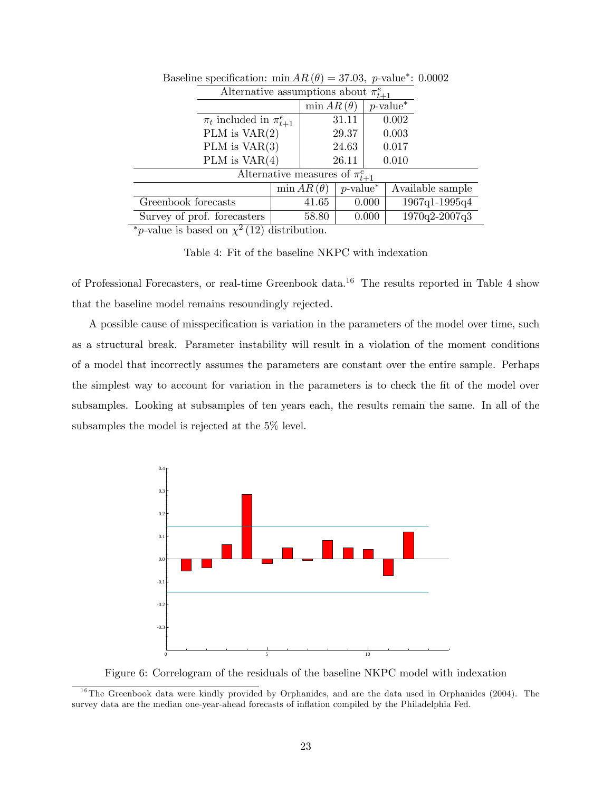|                                       | Alternative assumptions about $\pi_{t+1}^e$ |                   |                         |       |                         |
|---------------------------------------|---------------------------------------------|-------------------|-------------------------|-------|-------------------------|
|                                       |                                             |                   | $\min AR(\theta)$       |       | $p$ -value <sup>*</sup> |
| $\pi_t$ included in $\pi_{t+1}^e$     |                                             |                   | 31.11                   |       | 0.002                   |
|                                       | PLM is $VAR(2)$                             |                   | 29.37                   |       | 0.003                   |
|                                       | PLM is $VAR(3)$                             |                   | 24.63                   |       | 0.017                   |
|                                       | PLM is $VAR(4)$                             |                   | 26.11                   | 0.010 |                         |
| Alternative measures of $\pi_{t+1}^e$ |                                             |                   |                         |       |                         |
|                                       |                                             | $\min AR(\theta)$ | $p$ -value <sup>*</sup> |       | Available sample        |
| Greenbook forecasts                   |                                             | 41.65             |                         | 0.000 | 1967q1-1995q4           |
| Survey of prof. forecasters           |                                             | 58.80             |                         | 0.000 | 1970q2-2007q3           |

Baseline specification: min  $AR(\theta) = 37.03$ , p-value<sup>\*</sup>: 0.0002

\**p*-value is based on  $\chi^2$  (12) distribution.

Table 4: Fit of the baseline NKPC with indexation

of Professional Forecasters, or real-time Greenbook data.<sup>16</sup> The results reported in Table 4 show that the baseline model remains resoundingly rejected.

A possible cause of misspecification is variation in the parameters of the model over time, such as a structural break. Parameter instability will result in a violation of the moment conditions of a model that incorrectly assumes the parameters are constant over the entire sample. Perhaps the simplest way to account for variation in the parameters is to check the fit of the model over subsamples. Looking at subsamples of ten years each, the results remain the same. In all of the subsamples the model is rejected at the 5% level.



Figure 6: Correlogram of the residuals of the baseline NKPC model with indexation

 $16$ The Greenbook data were kindly provided by Orphanides, and are the data used in Orphanides (2004). The survey data are the median one-year-ahead forecasts of inflation compiled by the Philadelphia Fed.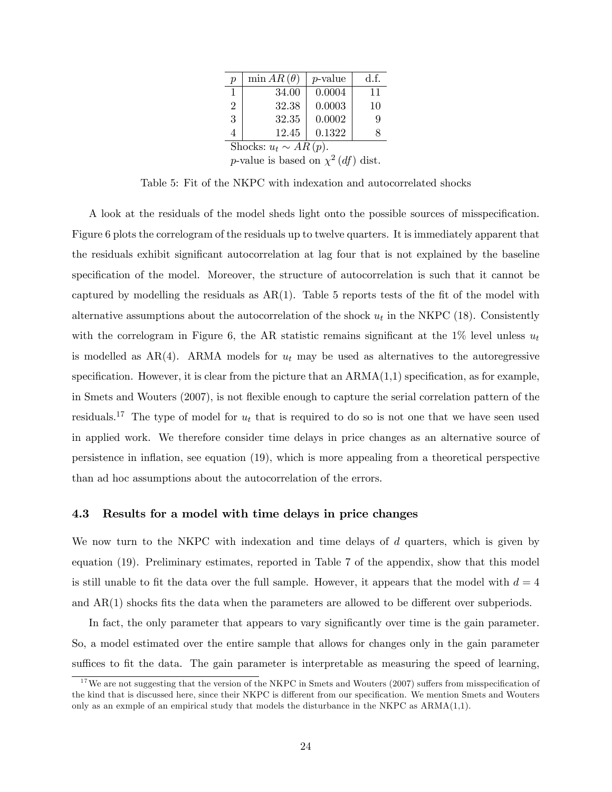| $\boldsymbol{p}$           | $\min AR(\theta)$ | $p$ -value | d.f. |  |  |
|----------------------------|-------------------|------------|------|--|--|
| 1                          | 34.00             | 0.0004     | 11   |  |  |
| $\overline{2}$             | 32.38             | 0.0003     | 10   |  |  |
| 3                          | 32.35             | 0.0002     | 9    |  |  |
| 4                          | 12.45             | 0.1322     | X    |  |  |
| Shocks: $u_t \sim AR(p)$ . |                   |            |      |  |  |
|                            |                   |            |      |  |  |

p-value is based on  $\chi^2(df)$  dist.

Table 5: Fit of the NKPC with indexation and autocorrelated shocks

A look at the residuals of the model sheds light onto the possible sources of misspecification. Figure 6 plots the correlogram of the residuals up to twelve quarters. It is immediately apparent that the residuals exhibit significant autocorrelation at lag four that is not explained by the baseline specification of the model. Moreover, the structure of autocorrelation is such that it cannot be captured by modelling the residuals as  $AR(1)$ . Table 5 reports tests of the fit of the model with alternative assumptions about the autocorrelation of the shock  $u_t$  in the NKPC (18). Consistently with the correlogram in Figure 6, the AR statistic remains significant at the  $1\%$  level unless  $u_t$ is modelled as  $AR(4)$ . ARMA models for  $u_t$  may be used as alternatives to the autoregressive specification. However, it is clear from the picture that an  $ARMA(1,1)$  specification, as for example, in Smets and Wouters (2007), is not flexible enough to capture the serial correlation pattern of the residuals.<sup>17</sup> The type of model for  $u_t$  that is required to do so is not one that we have seen used in applied work. We therefore consider time delays in price changes as an alternative source of persistence in inflation, see equation  $(19)$ , which is more appealing from a theoretical perspective than ad hoc assumptions about the autocorrelation of the errors.

## 4.3 Results for a model with time delays in price changes

We now turn to the NKPC with indexation and time delays of  $d$  quarters, which is given by equation (19). Preliminary estimates, reported in Table 7 of the appendix, show that this model is still unable to fit the data over the full sample. However, it appears that the model with  $d = 4$ and  $AR(1)$  shocks fits the data when the parameters are allowed to be different over subperiods.

In fact, the only parameter that appears to vary significantly over time is the gain parameter. So, a model estimated over the entire sample that allows for changes only in the gain parameter suffices to fit the data. The gain parameter is interpretable as measuring the speed of learning,

 $17$  We are not suggesting that the version of the NKPC in Smets and Wouters (2007) suffers from misspecification of the kind that is discussed here, since their NKPC is different from our specification. We mention Smets and Wouters only as an exmple of an empirical study that models the disturbance in the NKPC as ARMA(1,1).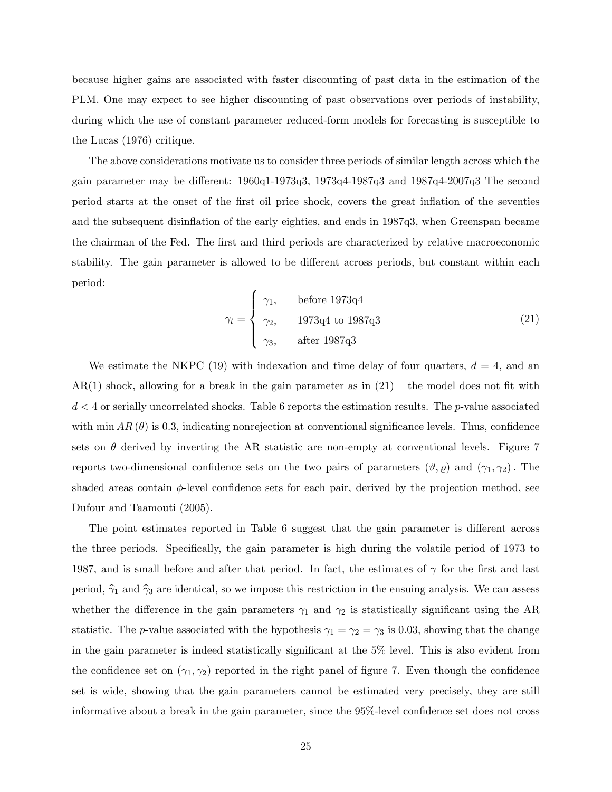because higher gains are associated with faster discounting of past data in the estimation of the PLM. One may expect to see higher discounting of past observations over periods of instability, during which the use of constant parameter reduced-form models for forecasting is susceptible to the Lucas (1976) critique.

The above considerations motivate us to consider three periods of similar length across which the gain parameter may be different:  $1960q1-1973q3$ ,  $1973q4-1987q3$  and  $1987q4-2007q3$  The second period starts at the onset of the Örst oil price shock, covers the great ináation of the seventies and the subsequent disinflation of the early eighties, and ends in 1987q3, when Greenspan became the chairman of the Fed. The first and third periods are characterized by relative macroeconomic stability. The gain parameter is allowed to be different across periods, but constant within each period:

$$
\gamma_t = \begin{cases} \gamma_1, & \text{before } 1973q4\\ \gamma_2, & 1973q4 \text{ to } 1987q3\\ \gamma_3, & \text{after } 1987q3 \end{cases}
$$
 (21)

We estimate the NKPC (19) with indexation and time delay of four quarters,  $d = 4$ , and an  $AR(1)$  shock, allowing for a break in the gain parameter as in  $(21)$  – the model does not fit with  $d < 4$  or serially uncorrelated shocks. Table 6 reports the estimation results. The p-value associated with min  $AR(\theta)$  is 0.3, indicating nonrejection at conventional significance levels. Thus, confidence sets on  $\theta$  derived by inverting the AR statistic are non-empty at conventional levels. Figure 7 reports two-dimensional confidence sets on the two pairs of parameters  $(\vartheta, \varrho)$  and  $(\gamma_1, \gamma_2)$ . The shaded areas contain  $\phi$ -level confidence sets for each pair, derived by the projection method, see Dufour and Taamouti (2005).

The point estimates reported in Table 6 suggest that the gain parameter is different across the three periods. Specifically, the gain parameter is high during the volatile period of 1973 to 1987, and is small before and after that period. In fact, the estimates of  $\gamma$  for the first and last period,  $\hat{\gamma}_1$  and  $\hat{\gamma}_3$  are identical, so we impose this restriction in the ensuing analysis. We can assess whether the difference in the gain parameters  $\gamma_1$  and  $\gamma_2$  is statistically significant using the AR statistic. The *p*-value associated with the hypothesis  $\gamma_1 = \gamma_2 = \gamma_3$  is 0.03, showing that the change in the gain parameter is indeed statistically significant at the 5% level. This is also evident from the confidence set on  $(\gamma_1, \gamma_2)$  reported in the right panel of figure 7. Even though the confidence set is wide, showing that the gain parameters cannot be estimated very precisely, they are still informative about a break in the gain parameter, since the  $95\%$ -level confidence set does not cross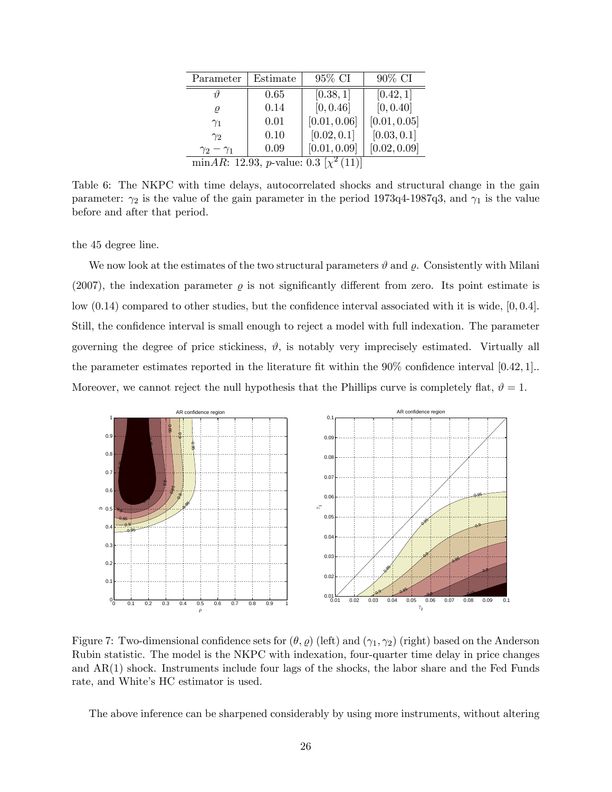| Parameter                                                      | Estimate | 95% CI       | 90% CI       |  |  |
|----------------------------------------------------------------|----------|--------------|--------------|--|--|
|                                                                | 0.65     | [0.38, 1]    | [0.42, 1]    |  |  |
| $\rho$                                                         | 0.14     | [0, 0.46]    | [0, 0.40]    |  |  |
| $\gamma_1$                                                     | 0.01     | [0.01, 0.06] | [0.01, 0.05] |  |  |
| $\gamma_2$                                                     | 0.10     | [0.02, 0.1]  | [0.03, 0.1]  |  |  |
| $\gamma_2-\gamma_1$                                            | 0.09     | [0.01, 0.09] | [0.02, 0.09] |  |  |
| minAR: 12.93, <i>p</i> -value: $0.3 \left[ \chi^2(11) \right]$ |          |              |              |  |  |

Table 6: The NKPC with time delays, autocorrelated shocks and structural change in the gain parameter:  $\gamma_2$  is the value of the gain parameter in the period 1973q4-1987q3, and  $\gamma_1$  is the value before and after that period.

the 45 degree line.

We now look at the estimates of the two structural parameters  $\vartheta$  and  $\rho$ . Consistently with Milani (2007), the indexation parameter  $\rho$  is not significantly different from zero. Its point estimate is low  $(0.14)$  compared to other studies, but the confidence interval associated with it is wide,  $[0, 0.4]$ . Still, the confidence interval is small enough to reject a model with full indexation. The parameter governing the degree of price stickiness,  $\vartheta$ , is notably very imprecisely estimated. Virtually all the parameter estimates reported in the literature fit within the  $90\%$  confidence interval  $[0.42, 1]$ . Moreover, we cannot reject the null hypothesis that the Phillips curve is completely flat,  $\vartheta = 1$ .



Figure 7: Two-dimensional confidence sets for  $(\theta, \rho)$  (left) and  $(\gamma_1, \gamma_2)$  (right) based on the Anderson Rubin statistic. The model is the NKPC with indexation, four-quarter time delay in price changes and AR(1) shock. Instruments include four lags of the shocks, the labor share and the Fed Funds rate, and White's HC estimator is used.

The above inference can be sharpened considerably by using more instruments, without altering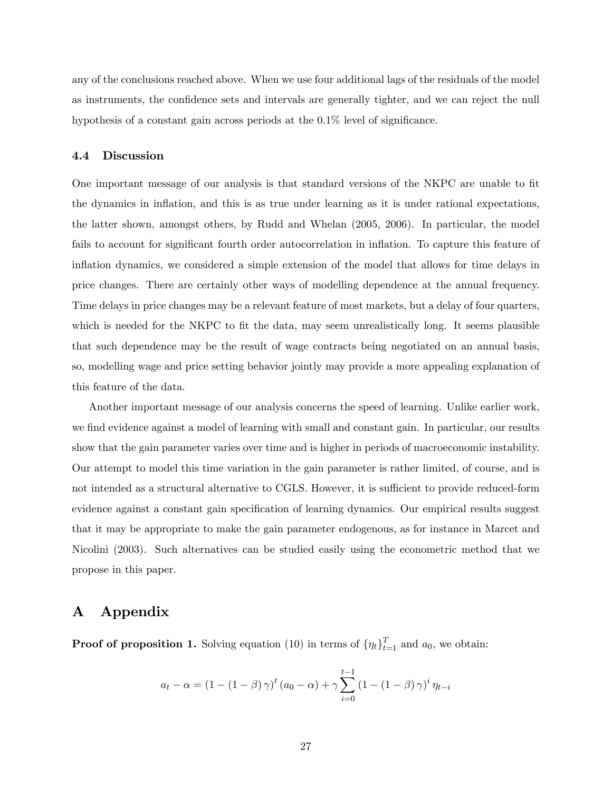any of the conclusions reached above. When we use four additional lags of the residuals of the model as instruments, the confidence sets and intervals are generally tighter, and we can reject the null hypothesis of a constant gain across periods at the  $0.1\%$  level of significance.

### 4.4 Discussion

One important message of our analysis is that standard versions of the NKPC are unable to fit the dynamics in ináation, and this is as true under learning as it is under rational expectations, the latter shown, amongst others, by Rudd and Whelan (2005, 2006). In particular, the model fails to account for significant fourth order autocorrelation in inflation. To capture this feature of inflation dynamics, we considered a simple extension of the model that allows for time delays in price changes. There are certainly other ways of modelling dependence at the annual frequency. Time delays in price changes may be a relevant feature of most markets, but a delay of four quarters, which is needed for the NKPC to fit the data, may seem unrealistically long. It seems plausible that such dependence may be the result of wage contracts being negotiated on an annual basis, so, modelling wage and price setting behavior jointly may provide a more appealing explanation of this feature of the data.

Another important message of our analysis concerns the speed of learning. Unlike earlier work, we find evidence against a model of learning with small and constant gain. In particular, our results show that the gain parameter varies over time and is higher in periods of macroeconomic instability. Our attempt to model this time variation in the gain parameter is rather limited, of course, and is not intended as a structural alternative to CGLS. However, it is sufficient to provide reduced-form evidence against a constant gain specification of learning dynamics. Our empirical results suggest that it may be appropriate to make the gain parameter endogenous, as for instance in Marcet and Nicolini (2003). Such alternatives can be studied easily using the econometric method that we propose in this paper.

## A Appendix

**Proof of proposition 1.** Solving equation (10) in terms of  $\{\eta_t\}_{t=1}^T$  and  $a_0$ , we obtain:

$$
a_{t} - \alpha = (1 - (1 - \beta)\gamma)^{t} (a_{0} - \alpha) + \gamma \sum_{i=0}^{t-1} (1 - (1 - \beta)\gamma)^{i} \eta_{t-i}
$$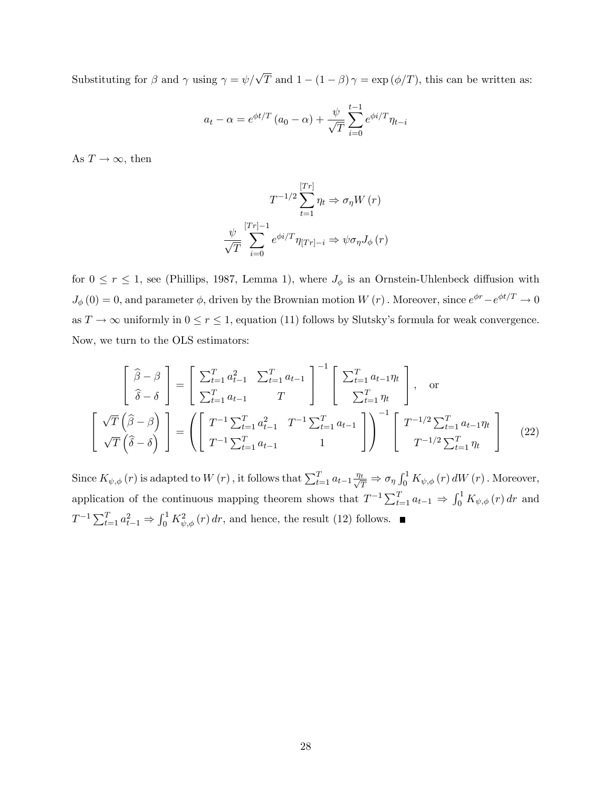Substituting for  $\beta$  and  $\gamma$  using  $\gamma = \psi/\sqrt{T}$  and  $1 - (1 - \beta)\gamma = \exp(\phi/T)$ , this can be written as:

$$
a_t - \alpha = e^{\phi t/T} \left( a_0 - \alpha \right) + \frac{\psi}{\sqrt{T}} \sum_{i=0}^{t-1} e^{\phi i/T} \eta_{t-i}
$$

As  $T \to \infty$ , then

$$
T^{-1/2} \sum_{t=1}^{[Tr]} \eta_t \Rightarrow \sigma_{\eta} W(r)
$$

$$
\frac{\psi}{\sqrt{T}} \sum_{i=0}^{[Tr]-1} e^{\phi i/T} \eta_{[Tr]-i} \Rightarrow \psi \sigma_{\eta} J_{\phi}(r)
$$

for  $0 \le r \le 1$ , see (Phillips, 1987, Lemma 1), where  $J_{\phi}$  is an Ornstein-Uhlenbeck diffusion with  $J_{\phi}(0) = 0$ , and parameter  $\phi$ , driven by the Brownian motion  $W(r)$ . Moreover, since  $e^{\phi r} - e^{\phi t/T} \to 0$ as  $T \to \infty$  uniformly in  $0 \le r \le 1$ , equation (11) follows by Slutsky's formula for weak convergence. Now, we turn to the OLS estimators:

$$
\begin{bmatrix}\n\hat{\beta} - \beta \\
\hat{\delta} - \delta\n\end{bmatrix} = \begin{bmatrix}\n\sum_{t=1}^{T} a_{t-1}^{2} & \sum_{t=1}^{T} a_{t-1} \\
\sum_{t=1}^{T} a_{t-1} & T\n\end{bmatrix}^{-1} \begin{bmatrix}\n\sum_{t=1}^{T} a_{t-1} \eta_{t} \\
\sum_{t=1}^{T} \eta_{t}\n\end{bmatrix}, \text{ or}
$$
\n
$$
\begin{bmatrix}\n\sqrt{T} (\hat{\beta} - \beta) \\
\sqrt{T} (\hat{\delta} - \delta)\n\end{bmatrix} = \left( \begin{bmatrix}\nT^{-1} \sum_{t=1}^{T} a_{t-1}^{2} & T^{-1} \sum_{t=1}^{T} a_{t-1} \\
T^{-1} \sum_{t=1}^{T} a_{t-1} & 1\n\end{bmatrix} \right)^{-1} \begin{bmatrix}\nT^{-1/2} \sum_{t=1}^{T} a_{t-1} \eta_{t} \\
T^{-1/2} \sum_{t=1}^{T} \eta_{t}\n\end{bmatrix}
$$
\n(22)

Since  $K_{\psi,\phi}(r)$  is adapted to  $W(r)$ , it follows that  $\sum_{t=1}^{T} a_{t-1} \frac{\eta_t}{\sqrt{T}} \Rightarrow \sigma_{\eta} \int_0^1 K_{\psi,\phi}(r) dW(r)$ . Moreover, application of the continuous mapping theorem shows that  $T^{-1} \sum_{t=1}^{T} a_{t-1} \Rightarrow \int_0^1 K_{\psi,\phi}(r) dr$  and  $T^{-1} \sum_{t=1}^{T} a_{t-1}^2 \Rightarrow \int_0^1 K_{\psi,\phi}^2(r) dr$ , and hence, the result (12) follows.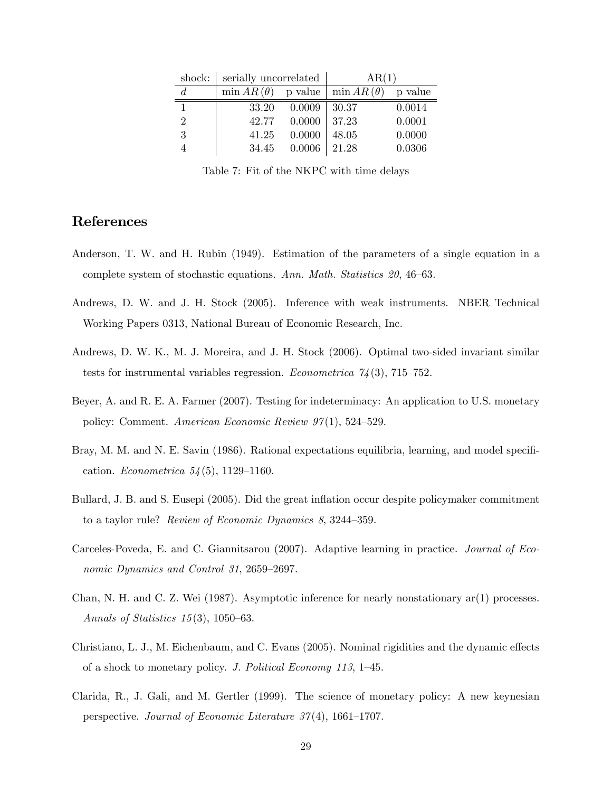|               | shock: serially uncorrelated                     |        | AR(1)         |         |
|---------------|--------------------------------------------------|--------|---------------|---------|
| $d_{\cdot}$   | $\min AR(\theta)$ p value $\mid \min AR(\theta)$ |        |               | p value |
|               | 33.20                                            | 0.0009 | 30.37         | 0.0014  |
| $\mathcal{D}$ | 42.77                                            | 0.0000 | $\vert$ 37.23 | 0.0001  |
| 3             | 41.25                                            | 0.0000 | 48.05         | 0.0000  |
|               | 34.45                                            | 0.0006 | 21.28         | 0.0306  |

Table 7: Fit of the NKPC with time delays

## References

- Anderson, T. W. and H. Rubin (1949). Estimation of the parameters of a single equation in a complete system of stochastic equations. Ann. Math. Statistics  $20, 46-63$ .
- Andrews, D. W. and J. H. Stock (2005). Inference with weak instruments. NBER Technical Working Papers 0313, National Bureau of Economic Research, Inc.
- Andrews, D. W. K., M. J. Moreira, and J. H. Stock (2006). Optimal two-sided invariant similar tests for instrumental variables regression. Econometrica  $\frac{\gamma}{4}(3)$ , 715–752.
- Beyer, A. and R. E. A. Farmer (2007). Testing for indeterminacy: An application to U.S. monetary policy: Comment. American Economic Review  $97(1)$ , 524–529.
- Bray, M. M. and N. E. Savin (1986). Rational expectations equilibria, learning, and model specification. *Econometrica*  $54(5)$ , 1129–1160.
- Bullard, J. B. and S. Eusepi (2005). Did the great ináation occur despite policymaker commitment to a taylor rule? Review of Economic Dynamics  $8, 3244-359$ .
- Carceles-Poveda, E. and C. Giannitsarou (2007). Adaptive learning in practice. Journal of Economic Dynamics and Control 31, 2659–2697.
- Chan, N. H. and C. Z. Wei (1987). Asymptotic inference for nearly nonstationary ar(1) processes. Annals of Statistics  $15(3)$ , 1050–63.
- Christiano, L. J., M. Eichenbaum, and C. Evans (2005). Nominal rigidities and the dynamic effects of a shock to monetary policy. J. Political Economy 113,  $1-45$ .
- Clarida, R., J. Gali, and M. Gertler (1999). The science of monetary policy: A new keynesian perspective. Journal of Economic Literature  $37(4)$ , 1661–1707.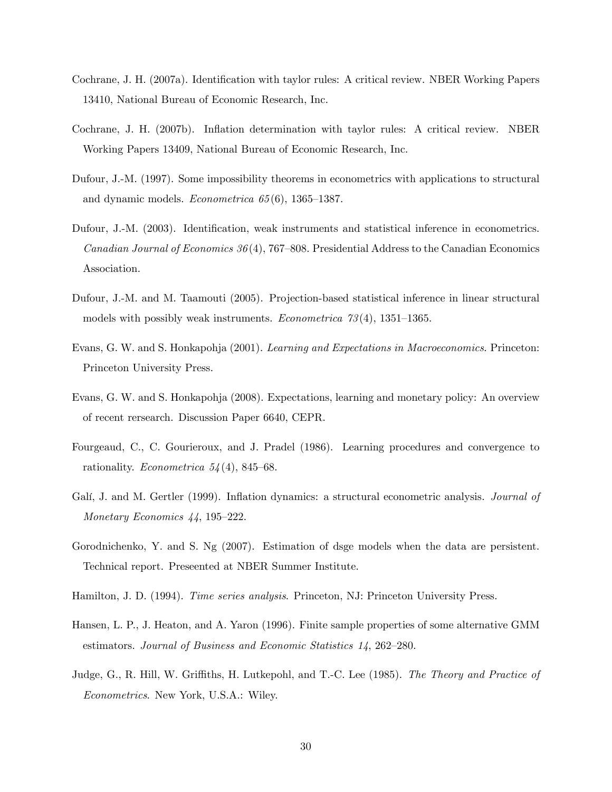- Cochrane, J. H. (2007a). Identification with taylor rules: A critical review. NBER Working Papers 13410, National Bureau of Economic Research, Inc.
- Cochrane, J. H. (2007b). Ináation determination with taylor rules: A critical review. NBER Working Papers 13409, National Bureau of Economic Research, Inc.
- Dufour, J.-M. (1997). Some impossibility theorems in econometrics with applications to structural and dynamic models. *Econometrica*  $65(6)$ , 1365–1387.
- Dufour, J.-M. (2003). Identification, weak instruments and statistical inference in econometrics. *Canadian Journal of Economics 36* (4), 767–808. Presidential Address to the Canadian Economics Association.
- Dufour, J.-M. and M. Taamouti (2005). Projection-based statistical inference in linear structural models with possibly weak instruments. *Econometrica*  $73(4)$ , 1351–1365.
- Evans, G. W. and S. Honkapohja (2001). Learning and Expectations in Macroeconomics. Princeton: Princeton University Press.
- Evans, G. W. and S. Honkapohja (2008). Expectations, learning and monetary policy: An overview of recent rersearch. Discussion Paper 6640, CEPR.
- Fourgeaud, C., C. Gourieroux, and J. Pradel (1986). Learning procedures and convergence to rationality. Econometrica  $54(4)$ , 845–68.
- Galí, J. and M. Gertler (1999). Inflation dynamics: a structural econometric analysis. *Journal of* Monetary Economics  $44$ , 195–222.
- Gorodnichenko, Y. and S. Ng (2007). Estimation of dsge models when the data are persistent. Technical report. Preseented at NBER Summer Institute.
- Hamilton, J. D. (1994). Time series analysis. Princeton, NJ: Princeton University Press.
- Hansen, L. P., J. Heaton, and A. Yaron (1996). Finite sample properties of some alternative GMM estimators. Journal of Business and Economic Statistics  $14$ , 262–280.
- Judge, G., R. Hill, W. Griffiths, H. Lutkepohl, and T.-C. Lee (1985). The Theory and Practice of Econometrics. New York, U.S.A.: Wiley.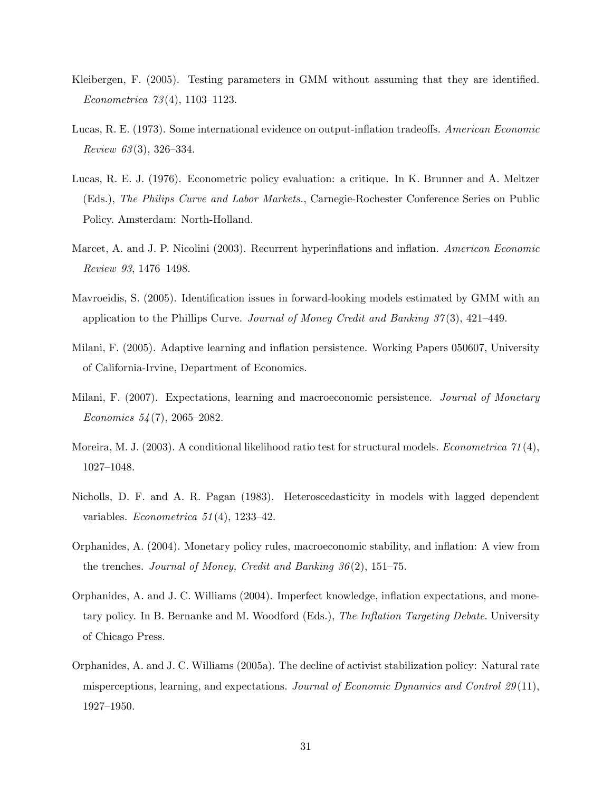- Kleibergen, F. (2005). Testing parameters in GMM without assuming that they are identified. Econometrica  $73(4)$ , 1103–1123.
- Lucas, R. E. (1973). Some international evidence on output-inflation tradeoffs. American Economic Review  $63(3)$ , 326–334.
- Lucas, R. E. J. (1976). Econometric policy evaluation: a critique. In K. Brunner and A. Meltzer (Eds.), The Philips Curve and Labor Markets., Carnegie-Rochester Conference Series on Public Policy. Amsterdam: North-Holland.
- Marcet, A. and J. P. Nicolini (2003). Recurrent hyperinflations and inflation. Americon Economic Review 93, 1476-1498.
- Mavroeidis, S. (2005). Identification issues in forward-looking models estimated by GMM with an application to the Phillips Curve. Journal of Money Credit and Banking  $37(3)$ , 421–449.
- Milani, F. (2005). Adaptive learning and inflation persistence. Working Papers 050607, University of California-Irvine, Department of Economics.
- Milani, F. (2007). Expectations, learning and macroeconomic persistence. Journal of Monetary Economics  $54(7)$ , 2065–2082.
- Moreira, M. J. (2003). A conditional likelihood ratio test for structural models. *Econometrica*  $\gamma_1(4)$ , 1027-1048.
- Nicholls, D. F. and A. R. Pagan (1983). Heteroscedasticity in models with lagged dependent variables. Econometrica  $51(4)$ , 1233-42.
- Orphanides, A. (2004). Monetary policy rules, macroeconomic stability, and ináation: A view from the trenches. Journal of Money, Credit and Banking  $36(2)$ , 151–75.
- Orphanides, A. and J. C. Williams (2004). Imperfect knowledge, ináation expectations, and monetary policy. In B. Bernanke and M. Woodford (Eds.), The Inflation Targeting Debate. University of Chicago Press.
- Orphanides, A. and J. C. Williams (2005a). The decline of activist stabilization policy: Natural rate misperceptions, learning, and expectations. Journal of Economic Dynamics and Control 29(11),  $1927 - 1950.$